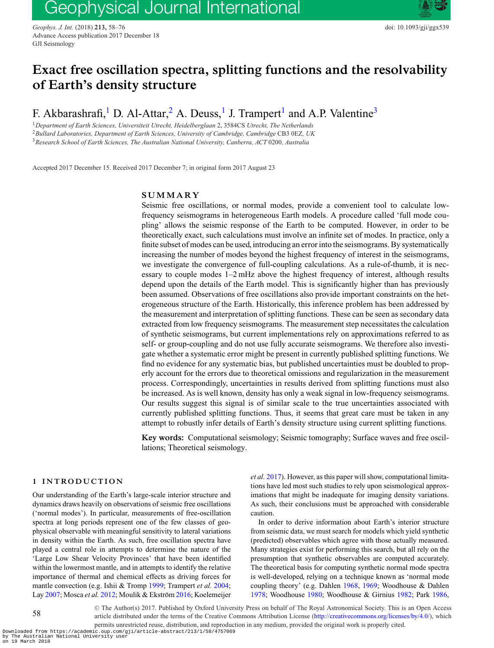*Geophys. J. Int.* (2018) **213,** 58–76 doi: 10.1093/gji/ggx539 Advance Access publication 2017 December 18 GJI Seismology

# **Exact free oscillation spectra, splitting functions and the resolvability of Earth's density structure**

F. Akbarashrafi,<sup>[1](#page-0-0)</sup> D. Al-Attar,<sup>[2](#page-0-1)</sup> A. Deuss,<sup>1</sup> J. Trampert<sup>1</sup> and A.P. Valentine<sup>[3](#page-0-2)</sup>

<span id="page-0-2"></span><span id="page-0-1"></span><span id="page-0-0"></span><sup>1</sup>*Department of Earth Sciences, Universiteit Utrecht, Heidelberglaan* 2, 3584CS *Utrecht, The Netherlands* <sup>2</sup>*Bullard Laboratories, Department of Earth Sciences, University of Cambridge, Cambridge* CB3 0EZ*, UK* <sup>3</sup>*Research School of Earth Sciences, The Australian National University, Canberra, ACT* 0200*, Australia*

Accepted 2017 December 15. Received 2017 December 7; in original form 2017 August 23

# **SUMMARY**

Seismic free oscillations, or normal modes, provide a convenient tool to calculate lowfrequency seismograms in heterogeneous Earth models. A procedure called 'full mode coupling' allows the seismic response of the Earth to be computed. However, in order to be theoretically exact, such calculations must involve an infinite set of modes. In practice, only a finite subset of modes can be used, introducing an error into the seismograms. By systematically increasing the number of modes beyond the highest frequency of interest in the seismograms, we investigate the convergence of full-coupling calculations. As a rule-of-thumb, it is necessary to couple modes 1–2 mHz above the highest frequency of interest, although results depend upon the details of the Earth model. This is significantly higher than has previously been assumed. Observations of free oscillations also provide important constraints on the heterogeneous structure of the Earth. Historically, this inference problem has been addressed by the measurement and interpretation of splitting functions. These can be seen as secondary data extracted from low frequency seismograms. The measurement step necessitates the calculation of synthetic seismograms, but current implementations rely on approximations referred to as self- or group-coupling and do not use fully accurate seismograms. We therefore also investigate whether a systematic error might be present in currently published splitting functions. We find no evidence for any systematic bias, but published uncertainties must be doubled to properly account for the errors due to theoretical omissions and regularization in the measurement process. Correspondingly, uncertainties in results derived from splitting functions must also be increased. As is well known, density has only a weak signal in low-frequency seismograms. Our results suggest this signal is of similar scale to the true uncertainties associated with currently published splitting functions. Thus, it seems that great care must be taken in any attempt to robustly infer details of Earth's density structure using current splitting functions.

**Key words:** Computational seismology; Seismic tomography; Surface waves and free oscillations; Theoretical seismology.

# **1 INTRODUCTION**

Our understanding of the Earth's large-scale interior structure and dynamics draws heavily on observations of seismic free oscillations ('normal modes'). In particular, measurements of free-oscillation spectra at long periods represent one of the few classes of geophysical observable with meaningful sensitivity to lateral variations in density within the Earth. As such, free oscillation spectra have played a central role in attempts to determine the nature of the 'Large Low Shear Velocity Provinces' that have been identified within the lowermost mantle, and in attempts to identify the relative importance of thermal and chemical effects as driving forces for mantle convection (e.g. Ishii & Tromp [1999;](#page-14-0) Trampert *et al.* [2004;](#page-14-1) Lay [2007;](#page-14-2) Mosca et al. [2012;](#page-14-3) Moulik & Ekström [2016;](#page-14-4) Koelemeijer *et al.* [2017\)](#page-14-5). However, as this paper will show, computational limitations have led most such studies to rely upon seismological approximations that might be inadequate for imaging density variations. As such, their conclusions must be approached with considerable caution.

In order to derive information about Earth's interior structure from seismic data, we must search for models which yield synthetic (predicted) observables which agree with those actually measured. Many strategies exist for performing this search, but all rely on the presumption that synthetic observables are computed accurately. The theoretical basis for computing synthetic normal mode spectra is well-developed, relying on a technique known as 'normal mode coupling theory' (e.g. Dahlen [1968,](#page-14-6) [1969;](#page-14-7) Woodhouse & Dahlen [1978;](#page-15-0) Woodhouse [1980;](#page-14-8) Woodhouse & Girnius [1982;](#page-15-1) Park [1986,](#page-14-9)

-<sup>C</sup> The Author(s) 2017. Published by Oxford University Press on behalf of The Royal Astronomical Society. This is an Open Access article distributed under the terms of the Creative Commons Attribution License [\(http://creativecommons.org/licenses/by/4.0/\)](http://creativecommons.org/licenses/by/4.0/), which permits unrestricted reuse, distribution, and reproduction in any medium, provided the original work is properly cited.

Downloaded from https://academic.oup.com/gji/article-abstract/213/1/58/4757069 by The Australian National University user on 19 March 2018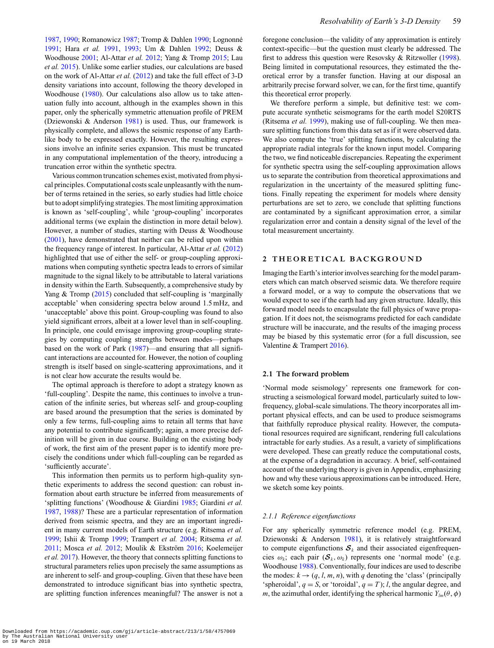[1987,](#page-14-10) [1990;](#page-14-13) Romanowicz [1987;](#page-14-12) Tromp & Dahlen 1990; Lognonné [1991;](#page-14-14) Hara *et al.* [1991,](#page-14-15) [1993;](#page-14-16) Um & Dahlen [1992;](#page-14-17) Deuss & Woodhouse [2001;](#page-14-18) Al-Attar *et al.* [2012;](#page-13-0) Yang & Tromp [2015;](#page-15-2) Lau *et al.* [2015\)](#page-14-19). Unlike some earlier studies, our calculations are based on the work of Al-Attar *et al.* [\(2012\)](#page-13-0) and take the full effect of 3-D density variations into account, following the theory developed in Woodhouse [\(1980\)](#page-14-8). Our calculations also allow us to take attenuation fully into account, although in the examples shown in this paper, only the spherically symmetric attenuation profile of PREM (Dziewonski & Anderson [1981\)](#page-14-20) is used. Thus, our framework is physically complete, and allows the seismic response of any Earthlike body to be expressed exactly. However, the resulting expressions involve an infinite series expansion. This must be truncated in any computational implementation of the theory, introducing a truncation error within the synthetic spectra.

Various common truncation schemes exist, motivated from physical principles. Computational costs scale unpleasantly with the number of terms retained in the series, so early studies had little choice but to adopt simplifying strategies. The most limiting approximation is known as 'self-coupling', while 'group-coupling' incorporates additional terms (we explain the distinction in more detail below). However, a number of studies, starting with Deuss & Woodhouse [\(2001\)](#page-14-18), have demonstrated that neither can be relied upon within the frequency range of interest. In particular, Al-Attar *et al.* [\(2012\)](#page-13-0) highlighted that use of either the self- or group-coupling approximations when computing synthetic spectra leads to errors of similar magnitude to the signal likely to be attributable to lateral variations in density within the Earth. Subsequently, a comprehensive study by Yang & Tromp [\(2015\)](#page-15-2) concluded that self-coupling is 'marginally acceptable' when considering spectra below around 1.5 mHz, and 'unacceptable' above this point. Group-coupling was found to also yield significant errors, albeit at a lower level than in self-coupling. In principle, one could envisage improving group-coupling strategies by computing coupling strengths between modes—perhaps based on the work of Park [\(1987\)](#page-14-10)—and ensuring that all significant interactions are accounted for. However, the notion of coupling strength is itself based on single-scattering approximations, and it is not clear how accurate the results would be.

The optimal approach is therefore to adopt a strategy known as 'full-coupling'. Despite the name, this continues to involve a truncation of the infinite series, but whereas self- and group-coupling are based around the presumption that the series is dominated by only a few terms, full-coupling aims to retain all terms that have any potential to contribute significantly; again, a more precise definition will be given in due course. Building on the existing body of work, the first aim of the present paper is to identify more precisely the conditions under which full-coupling can be regarded as 'sufficiently accurate'.

This information then permits us to perform high-quality synthetic experiments to address the second question: can robust information about earth structure be inferred from measurements of 'splitting functions' (Woodhouse & Giardini [1985;](#page-15-3) Giardini *et al.* [1987,](#page-14-21) [1988\)](#page-14-22)? These are a particular representation of information derived from seismic spectra, and they are an important ingredient in many current models of Earth structure (e.g. Ritsema *et al.* [1999;](#page-14-23) Ishii & Tromp [1999;](#page-14-0) Trampert *et al.* [2004;](#page-14-1) Ritsema *et al.* [2011;](#page-14-24) Mosca et al. [2012;](#page-14-3) Moulik & Ekström [2016;](#page-14-4) Koelemeijer *et al.* [2017\)](#page-14-5). However, the theory that connects splitting functions to structural parameters relies upon precisely the same assumptions as are inherent to self- and group-coupling. Given that these have been demonstrated to introduce significant bias into synthetic spectra, are splitting function inferences meaningful? The answer is not a

foregone conclusion—the validity of any approximation is entirely context-specific—but the question must clearly be addressed. The first to address this question were Resovsky & Ritzwoller [\(1998\)](#page-14-25). Being limited in computational resources, they estimated the theoretical error by a transfer function. Having at our disposal an arbitrarily precise forward solver, we can, for the first time, quantify this theoretical error properly.

We therefore perform a simple, but definitive test: we compute accurate synthetic seismograms for the earth model S20RTS (Ritsema *et al.* [1999\)](#page-14-23), making use of full-coupling. We then measure splitting functions from this data set as if it were observed data. We also compute the 'true' splitting functions, by calculating the appropriate radial integrals for the known input model. Comparing the two, we find noticeable discrepancies. Repeating the experiment for synthetic spectra using the self-coupling approximation allows us to separate the contribution from theoretical approximations and regularization in the uncertainty of the measured splitting functions. Finally repeating the experiment for models where density perturbations are set to zero, we conclude that splitting functions are contaminated by a significant approximation error, a similar regularization error and contain a density signal of the level of the total measurement uncertainty.

## 2 THEORETICAL BACKGROUND

Imaging the Earth's interior involves searching for the model parameters which can match observed seismic data. We therefore require a forward model, or a way to compute the observations that we would expect to see if the earth had any given structure. Ideally, this forward model needs to encapsulate the full physics of wave propagation. If it does not, the seismograms predicted for each candidate structure will be inaccurate, and the results of the imaging process may be biased by this systematic error (for a full discussion, see Valentine & Trampert [2016\)](#page-14-26).

# **2.1 The forward problem**

'Normal mode seismology' represents one framework for constructing a seismological forward model, particularly suited to lowfrequency, global-scale simulations. The theory incorporates all important physical effects, and can be used to produce seismograms that faithfully reproduce physical reality. However, the computational resources required are significant, rendering full calculations intractable for early studies. As a result, a variety of simplifications were developed. These can greatly reduce the computational costs, at the expense of a degradation in accuracy. A brief, self-contained account of the underlying theory is given in Appendix, emphasizing how and why these various approximations can be introduced. Here, we sketch some key points.

# *2.1.1 Reference eigenfunctions*

For any spherically symmetric reference model (e.g. PREM, Dziewonski & Anderson [1981\)](#page-14-20), it is relatively straightforward to compute eigenfunctions  $S_k$  and their associated eigenfrequencies  $\omega_k$ ; each pair  $(\mathcal{S}_k, \omega_k)$  represents one 'normal mode' (e.g. Woodhouse [1988\)](#page-15-4). Conventionally, four indices are used to describe the modes:  $k \rightarrow (q, l, m, n)$ , with *q* denoting the 'class' (principally 'spheroidal',  $q = S$ , or 'toroidal',  $q = T$ ); *l*, the angular degree, and *m*, the azimuthal order, identifying the spherical harmonic  $Y_{lm}(\theta, \phi)$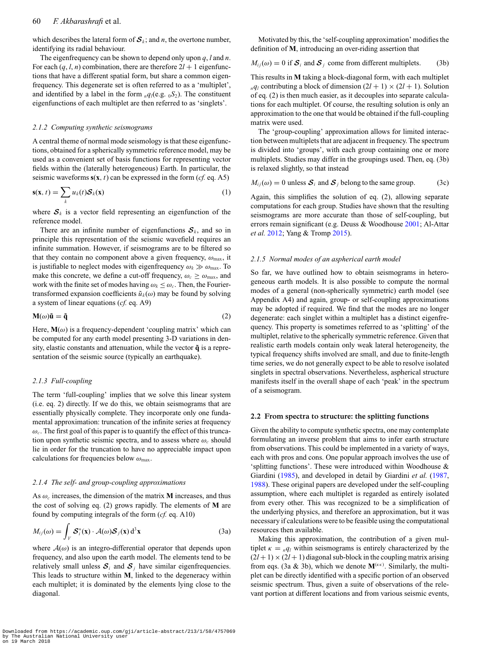# 60 *F. Akbarashrafi* et al.

which describes the lateral form of  $S_k$ ; and *n*, the overtone number, identifying its radial behaviour.

The eigenfrequency can be shown to depend only upon *q*, *l* and *n*. For each  $(q, l, n)$  combination, there are therefore  $2l + 1$  eigenfunctions that have a different spatial form, but share a common eigenfrequency. This degenerate set is often referred to as a 'multiplet', and identified by a label in the form  $_{n}q_{l}(e.g.,_{0}S_{2})$ . The constituent eigenfunctions of each multiplet are then referred to as 'singlets'.

## *2.1.2 Computing synthetic seismograms*

A central theme of normal mode seismology is that these eigenfunctions, obtained for a spherically symmetric reference model, may be used as a convenient set of basis functions for representing vector fields within the (laterally heterogeneous) Earth. In particular, the seismic waveforms  $s(x, t)$  can be expressed in the form (*cf.* eq. A5)

$$
\mathbf{s}(\mathbf{x},t) = \sum_{k} u_k(t) \mathcal{S}_k(\mathbf{x})
$$
 (1)

where  $S_k$  is a vector field representing an eigenfunction of the reference model.

There are an infinite number of eigenfunctions  $S_k$ , and so in principle this representation of the seismic wavefield requires an infinite summation. However, if seismograms are to be filtered so that they contain no component above a given frequency,  $\omega_{\text{max}}$ , it is justifiable to neglect modes with eigenfrequency  $\omega_k \gg \omega_{\text{max}}$ . To make this concrete, we define a cut-off frequency,  $\omega_c \ge \omega_{\text{max}}$ , and work with the finite set of modes having  $\omega_k \leq \omega_c$ . Then, the Fouriertransformed expansion coefficients  $\tilde{u}_k(\omega)$  may be found by solving a system of linear equations (*cf.* eq. A9)

$$
M(\omega)\tilde{\mathbf{u}} = \tilde{\mathbf{q}} \tag{2}
$$

Here,  **is a frequency-dependent 'coupling matrix' which can** be computed for any earth model presenting 3-D variations in density, elastic constants and attenuation, while the vector  $\tilde{\mathbf{q}}$  is a representation of the seismic source (typically an earthquake).

## *2.1.3 Full-coupling*

The term 'full-coupling' implies that we solve this linear system (i.e. eq. 2) directly. If we do this, we obtain seismograms that are essentially physically complete. They incorporate only one fundamental approximation: truncation of the infinite series at frequency  $\omega_c$ . The first goal of this paper is to quantify the effect of this truncation upon synthetic seismic spectra, and to assess where  $\omega_c$  should lie in order for the truncation to have no appreciable impact upon calculations for frequencies below  $\omega_{\text{max}}$ .

## *2.1.4 The self- and group-coupling approximations*

As  $\omega_c$  increases, the dimension of the matrix **M** increases, and thus the cost of solving eq. (2) grows rapidly. The elements of **M** are found by computing integrals of the form (*cf.* eq. A10)

$$
M_{ij}(\omega) = \int_{V} \mathcal{S}_i^*(\mathbf{x}) \cdot \mathcal{A}(\omega) \mathcal{S}_j(\mathbf{x}) d^3 \mathbf{x}
$$
 (3a)

where  $A(\omega)$  is an integro-differential operator that depends upon frequency, and also upon the earth model. The elements tend to be relatively small unless  $S_i$  and  $S_j$  have similar eigenfrequencies. This leads to structure within **M**, linked to the degeneracy within each multiplet; it is dominated by the elements lying close to the diagonal.

Motivated by this, the 'self-coupling approximation' modifies the definition of **M**, introducing an over-riding assertion that

 $M_{ij}(\omega) = 0$  if  $S_i$  and  $S_j$  come from different multiplets. (3b)

This results in **M** taking a block-diagonal form, with each multiplet  $nq_l$  contributing a block of dimension  $(2l + 1) \times (2l + 1)$ . Solution of eq. (2) is then much easier, as it decouples into separate calculations for each multiplet. Of course, the resulting solution is only an approximation to the one that would be obtained if the full-coupling matrix were used.

The 'group-coupling' approximation allows for limited interaction between multiplets that are adjacent in frequency. The spectrum is divided into 'groups', with each group containing one or more multiplets. Studies may differ in the groupings used. Then, eq. (3b) is relaxed slightly, so that instead

$$
M_{ij}(\omega) = 0
$$
 unless  $\mathcal{S}_i$  and  $\mathcal{S}_j$  belong to the same group. (3c)

Again, this simplifies the solution of eq. (2), allowing separate computations for each group. Studies have shown that the resulting seismograms are more accurate than those of self-coupling, but errors remain significant (e.g. Deuss & Woodhouse [2001;](#page-14-18) Al-Attar *et al.* [2012;](#page-13-0) Yang & Tromp [2015\)](#page-15-2).

## *2.1.5 Normal modes of an aspherical earth model*

So far, we have outlined how to obtain seismograms in heterogeneous earth models. It is also possible to compute the normal modes of a general (non-spherically symmetric) earth model (see Appendix A4) and again, group- or self-coupling approximations may be adopted if required. We find that the modes are no longer degenerate: each singlet within a multiplet has a distinct eigenfrequency. This property is sometimes referred to as 'splitting' of the multiplet, relative to the spherically symmetric reference. Given that realistic earth models contain only weak lateral heterogeneity, the typical frequency shifts involved are small, and due to finite-length time series, we do not generally expect to be able to resolve isolated singlets in spectral observations. Nevertheless, aspherical structure manifests itself in the overall shape of each 'peak' in the spectrum of a seismogram.

#### **2.2 From spectra to structure: the splitting functions**

Given the ability to compute synthetic spectra, one may contemplate formulating an inverse problem that aims to infer earth structure from observations. This could be implemented in a variety of ways, each with pros and cons. One popular approach involves the use of 'splitting functions'. These were introduced within Woodhouse & Giardini [\(1985\)](#page-15-3), and developed in detail by Giardini *et al.* [\(1987,](#page-14-21) [1988\)](#page-14-22). These original papers are developed under the self-coupling assumption, where each multiplet is regarded as entirely isolated from every other. This was recognized to be a simplification of the underlying physics, and therefore an approximation, but it was necessary if calculations were to be feasible using the computational resources then available.

Making this approximation, the contribution of a given multiplet  $\kappa =_q q_l$  within seismograms is entirely characterized by the  $(2l + 1) \times (2l + 1)$  diagonal sub-block in the coupling matrix arising from eqs. (3a & 3b), which we denote **M**(κκ) . Similarly, the multiplet can be directly identified with a specific portion of an observed seismic spectrum. Thus, given a suite of observations of the relevant portion at different locations and from various seismic events,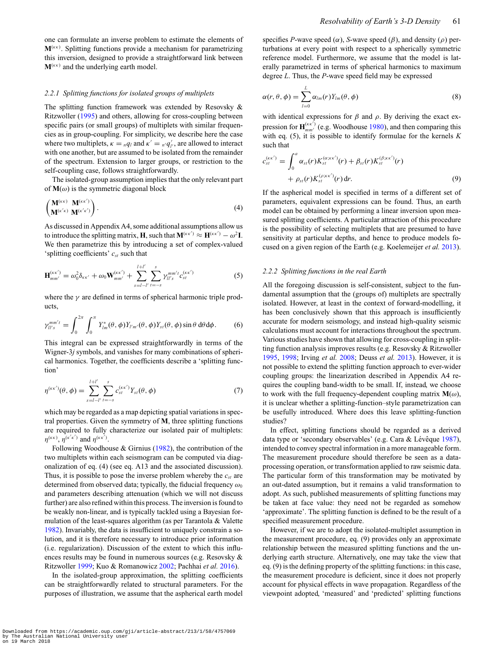one can formulate an inverse problem to estimate the elements of  $M^{(\kappa\kappa)}$ . Splitting functions provide a mechanism for parametrizing this inversion, designed to provide a straightforward link between  $M^{(\kappa\kappa)}$  and the underlying earth model.

# *2.2.1 Splitting functions for isolated groups of multiplets*

The splitting function framework was extended by Resovsky & Ritzwoller [\(1995\)](#page-14-27) and others, allowing for cross-coupling between specific pairs (or small groups) of multiplets with similar frequencies as in group-coupling. For simplicity, we describe here the case where two multiplets,  $\kappa = {}_{n}q_{l}$  and  $\kappa' = {}_{n'}q'_{l'}$ , are allowed to interact with one another, but are assumed to be isolated from the remainder of the spectrum. Extension to larger groups, or restriction to the self-coupling case, follows straightforwardly.

The isolated-group assumption implies that the only relevant part of  $M(\omega)$  is the symmetric diagonal block

$$
\left(\begin{matrix}\n\mathbf{M}^{(\kappa\kappa)} & \mathbf{M}^{(\kappa\kappa')}\n\\
\mathbf{M}^{(\kappa'\kappa)} & \mathbf{M}^{(\kappa'\kappa')}\n\end{matrix}\right).
$$
\n(4)

As discussed in Appendix A4, some additional assumptions allow us to introduce the splitting matrix, **H**, such that  $M^{(\kappa\kappa')} \approx H^{(\kappa\kappa')} - \omega^2 I$ . We then parametrize this by introducing a set of complex-valued 'splitting coefficients' *cst* such that

$$
\mathbf{H}_{mm'}^{(\kappa\kappa')} = \omega_0^2 \delta_{\kappa\kappa'} + \omega_0 \mathbf{W}_{mm'}^{(\kappa\kappa')} + \sum_{s=l-l'}^{l+l'} \sum_{t=-s}^{s} \gamma_{ll's}^{mm't} c_{st}^{(\kappa\kappa')} \tag{5}
$$

where the  $\gamma$  are defined in terms of spherical harmonic triple products,

$$
\gamma_{ll's}^{mm't} = \int_0^{2\pi} \int_0^{\pi} Y_{lm}^*(\theta, \phi) Y_{l'm'}(\theta, \phi) Y_{st}(\theta, \phi) \sin \theta \, d\theta d\phi.
$$
 (6)

This integral can be expressed straightforwardly in terms of the Wigner-3*j* symbols, and vanishes for many combinations of spherical harmonics. Together, the coefficients describe a 'splitting function'

$$
\eta^{(\kappa\kappa')}(\theta,\phi) = \sum_{s=l-l'}^{l+l'} \sum_{t=-s}^{s} c_{st}^{(\kappa\kappa')} Y_{st}(\theta,\phi)
$$
(7)

which may be regarded as a map depicting spatial variations in spectral properties. Given the symmetry of **M**, three splitting functions are required to fully characterize our isolated pair of multiplets:  $\eta^{(\kappa\kappa)}, \eta^{(\kappa'\kappa')}$  and  $\eta^{(\kappa\kappa')}$ .

Following Woodhouse & Girnius [\(1982\)](#page-15-1), the contribution of the two multiplets within each seismogram can be computed via diagonalization of eq. (4) (see eq. A13 and the associated discussion). Thus, it is possible to pose the inverse problem whereby the  $c_{st}$  are determined from observed data; typically, the fiducial frequency  $\omega_0$ and parameters describing attenuation (which we will not discuss further) are also refined within this process. The inversion is found to be weakly non-linear, and is typically tackled using a Bayesian formulation of the least-squares algorithm (as per Tarantola & Valette [1982\)](#page-14-28). Invariably, the data is insufficient to uniquely constrain a solution, and it is therefore necessary to introduce prior information (i.e. regularization). Discussion of the extent to which this influences results may be found in numerous sources (e.g. Resovsky & Ritzwoller [1999;](#page-14-29) Kuo & Romanowicz [2002;](#page-14-30) Pachhai *et al.* [2016\)](#page-14-31).

In the isolated-group approximation, the splitting coefficients can be straightforwardly related to structural parameters. For the purposes of illustration, we assume that the aspherical earth model specifies *P*-wave speed ( $\alpha$ ), *S*-wave speed ( $\beta$ ), and density ( $\rho$ ) perturbations at every point with respect to a spherically symmetric reference model. Furthermore, we assume that the model is laterally parametrized in terms of spherical harmonics to maximum degree *L*. Thus, the *P*-wave speed field may be expressed

$$
\alpha(r,\theta,\phi) = \sum_{l=0}^{L} \alpha_{lm}(r) Y_{lm}(\theta,\phi)
$$
\n(8)

with identical expressions for  $\beta$  and  $\rho$ . By deriving the exact expression for  $\mathbf{H}_{mm'}^{(\kappa\kappa')}$  (e.g. Woodhouse [1980\)](#page-14-8), and then comparing this with eq. (5), it is possible to identify formulae for the kernels *K* such that

$$
c_{st}^{(\kappa \kappa')} = \int_0^a \alpha_{st}(r) K_{st}^{(\alpha; \kappa \kappa')}(r) + \beta_{st}(r) K_{st}^{(\beta; \kappa \kappa')}(r) + \rho_{st}(r) K_{st}^{(\rho; \kappa \kappa')}(r) dr.
$$
 (9)

If the aspherical model is specified in terms of a different set of parameters, equivalent expressions can be found. Thus, an earth model can be obtained by performing a linear inversion upon measured splitting coefficients. A particular attraction of this procedure is the possibility of selecting multiplets that are presumed to have sensitivity at particular depths, and hence to produce models focused on a given region of the Earth (e.g. Koelemeijer *et al.* [2013\)](#page-14-32).

#### *2.2.2 Splitting functions in the real Earth*

All the foregoing discussion is self-consistent, subject to the fundamental assumption that the (groups of) multiplets are spectrally isolated. However, at least in the context of forward-modelling, it has been conclusively shown that this approach is insufficiently accurate for modern seismology, and instead high-quality seismic calculations must account for interactions throughout the spectrum. Various studies have shown that allowing for cross-coupling in splitting function analysis improves results (e.g. Resovsky & Ritzwoller [1995,](#page-14-27) [1998;](#page-14-25) Irving *et al.* [2008;](#page-14-33) Deuss *et al.* [2013\)](#page-14-34). However, it is not possible to extend the splitting function approach to ever-wider coupling groups: the linearization described in Appendix A4 requires the coupling band-width to be small. If, instead, we choose to work with the full frequency-dependent coupling matrix  $M(\omega)$ , it is unclear whether a splitting-function–style parametrization can be usefully introduced. Where does this leave splitting-function studies?

In effect, splitting functions should be regarded as a derived data type or 'secondary observables' (e.g. Cara & Lévêque [1987\)](#page-13-1), intended to convey spectral information in a more manageable form. The measurement procedure should therefore be seen as a dataprocessing operation, or transformation applied to raw seismic data. The particular form of this transformation may be motivated by an out-dated assumption, but it remains a valid transformation to adopt. As such, published measurements of splitting functions may be taken at face value: they need not be regarded as somehow 'approximate'. The splitting function is defined to be the result of a specified measurement procedure[.](#page-4-0)

However, if we are to adopt the isolated-multiplet assumption in the measurement procedure, eq. (9) provides only an approximate relationship between the measured splitting functions and the underlying earth structure. Alternatively, one may take the view that eq. (9) is the defining property of the splitting functions: in this case, the measurement procedure is deficient, since it does not properly account for physical effects in wave propagation. Regardless of the viewpoint adopted, 'measured' and 'predicted' splitting functions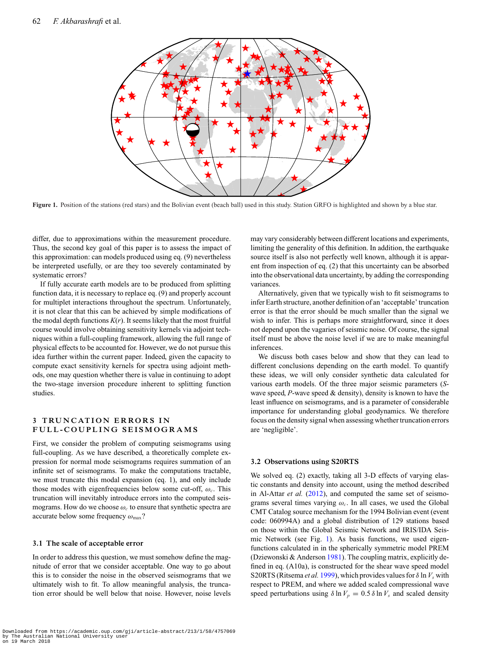<span id="page-4-0"></span>

**Figure 1.** Position of the stations (red stars) and the Bolivian event (beach ball) used in this study. Station GRFO is highlighted and shown by a blue star.

differ, due to approximations within the measurement procedure. Thus, the second key goal of this paper is to assess the impact of this approximation: can models produced using eq. (9) nevertheless be interpreted usefully, or are they too severely contaminated by systematic errors?

If fully accurate earth models are to be produced from splitting function data, it is necessary to replace eq. (9) and properly account for multiplet interactions throughout the spectrum. Unfortunately, it is not clear that this can be achieved by simple modifications of the modal depth functions  $K(r)$ . It seems likely that the most fruitful course would involve obtaining sensitivity kernels via adjoint techniques within a full-coupling framework, allowing the full range of physical effects to be accounted for. However, we do not pursue this idea further within the current paper. Indeed, given the capacity to compute exact sensitivity kernels for spectra using adjoint methods, one may question whether there is value in continuing to adopt the two-stage inversion procedure inherent to splitting function studies.

# **3 TRUNCATION ERRORS IN FULL-COUPLING SEISMOGRAMS**

First, we consider the problem of computing seismograms using full-coupling. As we have described, a theoretically complete expression for normal mode seismograms requires summation of an infinite set of seismograms. To make the computations tractable, we must truncate this modal expansion (eq. 1), and only include those modes with eigenfrequencies below some cut-off,  $\omega_c$ . This truncation will inevitably introduce errors into the computed seismograms. How do we choose  $\omega_c$  to ensure that synthetic spectra are accurate below some frequency  $\omega_{\text{max}}$ ?

## **3.1 The scale of acceptable error**

In order to address this question, we must somehow define the magnitude of error that we consider acceptable. One way to go about this is to consider the noise in the observed seismograms that we ultimately wish to fit. To allow meaningful analysis, the truncation error should be well below that noise. However, noise levels

may vary considerably between different locations and experiments, limiting the generality of this definition. In addition, the earthquake source itself is also not perfectly well known, although it is apparent from inspection of eq. (2) that this uncertainty can be absorbed into the observational data uncertainty, by adding the corresponding variances.

Alternatively, given that we typically wish to fit seismograms to infer Earth structure, another definition of an 'acceptable' truncation error is that the error should be much smaller than the signal we wish to infer. This is perhaps more straightforward, since it does not depend upon the vagaries of seismic noise. Of course, the signal itself must be above the noise level if we are to make meaningful inferences.

We discuss both cases below and show that they can lead to different conclusions depending on the earth model. To quantify these ideas, we will only consider synthetic data calculated for various earth models. Of the three major seismic parameters (*S*wave speed, *P*-wave speed & density), density is known to have the least influence on seismograms, and is a parameter of considerable importance for understanding global geodynamics. We therefore focus on the density signal when assessing whether truncation errors are 'negligible'.

#### **3.2 Observations using S20RTS**

We solved eq. (2) exactly, taking all 3-D effects of varying elastic constants and density into account, using the method described in Al-Attar *et al.* [\(2012\)](#page-13-0), and computed the same set of seismograms several times varying  $\omega_c$ . In all cases, we used the Global CMT Catalog source mechanism for the 1994 Bolivian event (event code: 060994A) and a global distribution of 129 stations based on those within the Global Seismic Network and IRIS/IDA Seismic Network (see Fig. [1\)](#page-4-0). As basis functions, we used eigenfunctions calculated in in the spherically symmetric model PREM (Dziewonski & Anderson [1981\)](#page-14-20). The coupling matrix, explicitly defined in eq. (A10a), is constructed for the shear wave speed model S20RTS (Ritsema *et al.* [1999\)](#page-14-23), which provides values for  $\delta \ln V_s$  with respect to PREM, and where we added scaled compressional wave speed perturbations using  $\delta \ln V_p = 0.5 \delta \ln V_s$  and scaled density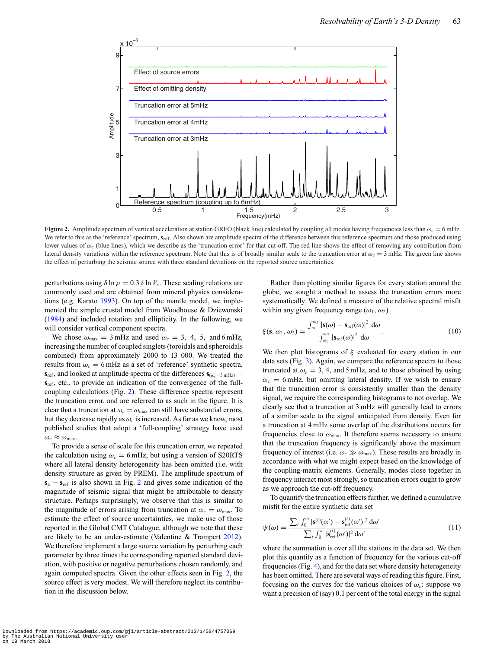<span id="page-5-0"></span>

**Figure 2.** Amplitude spectrum of vertical acceleration at station GRFO (black line) calculated by coupling all modes having frequencies less than  $\omega_c = 6$  mHz. We refer to this as the 'reference' spectrum,  $s_{ref}$ . Also shown are amplitude spectra of the difference between this reference spectrum and those produced using lower values of ω*<sup>c</sup>* (blue lines), which we describe as the 'truncation error' for that cut-off. The red line shows the effect of removing any contribution from lateral density variations within the reference spectrum. Note that this is of broadly similar scale to the truncation error at  $\omega_c = 3$  mHz. The green line shows the effect of perturbing the seismic source with three standard deviations on the reported source uncertainties.

perturbations using  $\delta \ln \rho = 0.3 \delta \ln V_s$ . These scaling relations are commonly used and are obtained from mineral physics considerations (e.g. Karato [1993\)](#page-14-35). On top of the mantle model, we implemented the simple crustal model from Woodhouse & Dziewonski [\(1984\)](#page-15-5) and included rotation and ellipticity. In the following, we will consider vertical component spectra.

We chose  $\omega_{\text{max}} = 3 \text{ mHz}$  and used  $\omega_c = 3$ , 4, 5, and 6 mHz, increasing the number of coupled singlets (toroidals and spheroidals combined) from approximately 2000 to 13 000. We treated the results from  $\omega_c = 6$  mHz as a set of 'reference' synthetic spectra, **s**<sub>ref</sub>, and looked at amplitude spectra of the differences  $\mathbf{s}_{(\omega_c=3 \text{ mHz})}$  −  $s_{ref}$ , etc., to provide an indication of the convergence of the fullcoupling calculations (Fig. [2\)](#page-5-0). These difference spectra represent the truncation error, and are referred to as such in the figure. It is clear that a truncation at  $\omega_c = \omega_{\text{max}}$  can still have substantial errors, but they decrease rapidly as  $\omega_c$  is increased. As far as we know, most published studies that adopt a 'full-coupling' strategy have used  $\omega_c \approx \omega_{\text{max}}$ .

To provide a sense of scale for this truncation error, we repeated the calculation using  $\omega_c = 6$  mHz, but using a version of S20RTS where all lateral density heterogeneity has been omitted (i.e. with density structure as given by PREM). The amplitude spectrum of  $s_{\bar{p}} - s_{\text{ref}}$  is also shown in Fig. [2](#page-5-0) and gives some indication of the magnitude of seismic signal that might be attributable to density structure. Perhaps surprisingly, we observe that this is similar to the magnitude of errors arising from truncation at  $\omega_c = \omega_{\text{max}}$ . To estimate the effect of source uncertainties, we make use of those reported in the Global CMT Catalogue, although we note that these are likely to be an under-estimate (Valentine & Trampert [2012\)](#page-14-36). We therefore implement a large source variation by perturbing each parameter by three times the corresponding reported standard deviation, with positive or negative perturbations chosen randomly, and again computed spectra. Given the other effects seen in Fig. [2,](#page-5-0) the source effect is very modest. We will therefore neglect its contribution in the discussion below.

Rather than plotting similar figures for every station around the globe, we sought a method to assess the truncation errors more systematically. We defined a measure of the relative spectral misfit within any given frequency range  $(\omega_1, \omega_2)$ 

$$
\xi(\mathbf{s},\omega_1,\omega_2) = \frac{\int_{\omega_1}^{\omega_2} |\mathbf{s}(\omega) - \mathbf{s}_{\text{ref}}(\omega)|^2 d\omega}{\int_{\omega_1}^{\omega_2} |\mathbf{s}_{\text{ref}}(\omega)|^2 d\omega}.
$$
 (10)

We then plot histograms of  $\xi$  evaluated for every station in our data sets (Fig. [3\)](#page-6-0). Again, we compare the reference spectra to those truncated at  $\omega_c = 3$ , 4, and 5 mHz, and to those obtained by using  $\omega_c = 6$  mHz, but omitting lateral density. If we wish to ensure that the truncation error is consistently smaller than the density signal, we require the corresponding histograms to not overlap. We clearly see that a truncation at 3 mHz will generally lead to errors of a similar scale to the signal anticipated from density. Even for a truncation at 4 mHz some overlap of the distributions occurs for frequencies close to  $\omega_{\text{max}}$ . It therefore seems necessary to ensure that the truncation frequency is significantly above the maximum frequency of interest (i.e.  $\omega_c \gg \omega_{\text{max}}$ ). These results are broadly in accordance with what we might expect based on the knowledge of the coupling-matrix elements. Generally, modes close together in frequency interact most strongly, so truncation errors ought to grow as we approach the cut-off frequency.

To quantify the truncation effects further, we defined a cumulative misfit for the entire synthetic data set

$$
\psi(\omega) = \frac{\sum_{i} \int_0^{\omega} |\mathbf{s}^{(i)}(\omega') - \mathbf{s}_{\text{ref}}^{(i)}(\omega')|^2 d\omega'}{\sum_{i} \int_0^{\omega} |\mathbf{s}_{\text{ref}}^{(i)}(\omega')|^2 d\omega'}
$$
(11)

where the summation is over all the stations in the data set. We then plot this quantity as a function of frequency for the various cut-off frequencies (Fig. [4\)](#page-6-1), and for the data set where density heterogeneity has been omitted. There are several ways of reading this figure. First, focusing on the curves for the various choices of  $\omega_c$ : suppose we want a precision of (say) 0.1 per cent of the total energy in the signal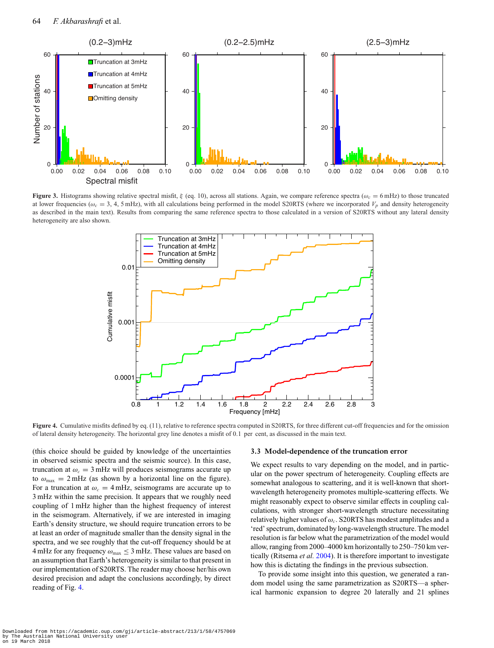<span id="page-6-0"></span>

<span id="page-6-1"></span>**Figure 3.** Histograms showing relative spectral misfit,  $\xi$  (eq. 10), across all stations. Again, we compare reference spectra ( $\omega_c = 6$  mHz) to those truncated at lower frequencies ( $\omega_c = 3$ , 4, 5 mHz), with all calculations being performed in the model S20RTS (where we incorporated  $V_p$  and density heterogeneity as described in the main text). Results from comparing the same reference spectra to those calculated in a version of S20RTS without any lateral density heterogeneity are also shown.



**Figure 4.** Cumulative misfits defined by eq. (11), relative to reference spectra computed in S20RTS, for three different cut-off frequencies and for the omission of lateral density heterogeneity. The horizontal grey line denotes a misfit of 0.1 per cent, as discussed in the main text.

(this choice should be guided by knowledge of the uncertainties in observed seismic spectra and the seismic source). In this case, truncation at  $\omega_c = 3$  mHz will produces seismograms accurate up to  $\omega_{\text{max}} = 2 \text{ mHz}$  (as shown by a horizontal line on the figure). For a truncation at  $\omega_c = 4$  mHz, seismograms are accurate up to 3 mHz within the same precision. It appears that we roughly need coupling of 1 mHz higher than the highest frequency of interest in the seismogram. Alternatively, if we are interested in imaging Earth's density structure, we should require truncation errors to be at least an order of magnitude smaller than the density signal in the spectra, and we see roughly that the cut-off frequency should be at 4 mHz for any frequency  $\omega_{\text{max}} \leq 3$  mHz. These values are based on an assumption that Earth's heterogeneity is similar to that present in our implementation of S20RTS. The reader may choose her/his own desired precision and adapt the conclusions accordingly, by direct reading of Fig. [4.](#page-6-1)

#### **3.3 Model-dependence of the truncation error**

We expect results to vary depending on the model, and in particular on the power spectrum of heterogeneity. Coupling effects are somewhat analogous t[o](#page-7-0) scattering, and it is well-known that shortwavelength heterogeneity promotes multiple-scattering effects. We might reasonably expect to observe similar effects in coupling calculations, with stronger short-wavelength structure necessitating relatively higher values of ω*c*. S20RTS has modest amplitudes and a 'red' spectrum, dominated by long-wavelength structure. The model resolution is far below what the parametrization of the model would allow, ranging from 2000–4000 km horizontally to 250–750 km vertically (Ritsema *et al.* [2004\)](#page-14-37). It is therefore important to investigate how this is dictating the findings in the previous subsection.

To provide some insight into this question, we generated a random model using the same parametrization as S20RTS—a spherical harmonic expansion to degree 20 laterally and 21 splines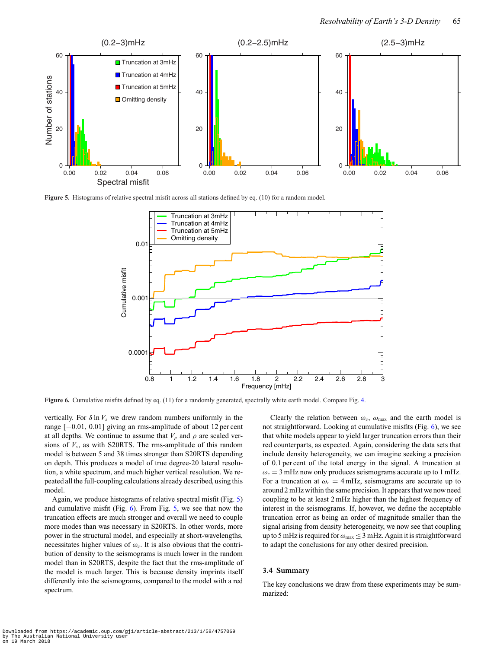<span id="page-7-0"></span>

<span id="page-7-1"></span>**Figure 5.** Histograms of relative spectral misfit across all stations defined by eq. (10) for a random model.



**Figure 6.** Cumulative misfits defined by eq. (11) for a randomly generated, spectrally white earth model. Compare Fig. [4.](#page-6-1)

vertically. For  $\delta \ln V_s$  we drew random numbers uniformly in the range [−0.01, 0.01] giving an rms-amplitude of about 12 per cent at all depths. We continue to assume that  $V_p$  and  $\rho$  are scaled versions of  $V_s$ , as with S20RTS. The rms-amplitude of this random model is between 5 and 38 times stronger than S20RTS depending on depth. This produces a model of true degree-20 lateral resolution, a white spectrum, and much higher vertical resolution. We repeated all the full-coupling calculations already described, using this model.

Again, we produce histograms of relative spectral misfit (Fig. [5\)](#page-7-0) and cumulative misfit (Fig. [6\)](#page-7-1). From Fig. [5,](#page-7-0) we see that now the truncation effects are much stronger and overall we need to couple more modes than was necessary in S20RTS. In other words, more power in the structural model, and especially at short-wavelengths, necessitates higher values of  $\omega_c$ . It is also obvious that the contribution of density to the seismograms is much lower in the random model than in S20RTS, despite the fact that the rms-amplitude of the model is much larger. This is because density imprints itself differently into the seismograms, compared to the model with a red spectrum.

Clearly the relation between  $\omega_c$ ,  $\omega_{\text{max}}$  and the earth model is not straightforward. Looking at cumulative misfits (Fig. [6\)](#page-7-1), we see that white models appear to yield larger truncation errors than their red counterparts, as expected. Again, considering the data sets that include density heterogeneity, we can imagine seeking a precision of 0.1 per cent of the total energy in the signal. A truncation at  $\omega_c = 3$  mHz now only produces seismograms accurate up to 1 mHz. For a truncation at  $\omega_c = 4$  mHz, seismograms are accurate up to around 2 mHz within the same precision. It appears that we now need coupling to be at least 2 mHz higher than the highest frequency of interest in the seismograms. If, however, we define the acceptable truncation error as being an order of magnitude smaller than the signal arising from density heterogeneity, we now see that coupling up to 5 mHz is required for  $\omega_{\text{max}} \leq 3$  mHz. Again it is straightforward to adapt the conclusions for any other desired precision.

#### **3.4 Summary**

The key conclusions we draw from these experiments may be summarized: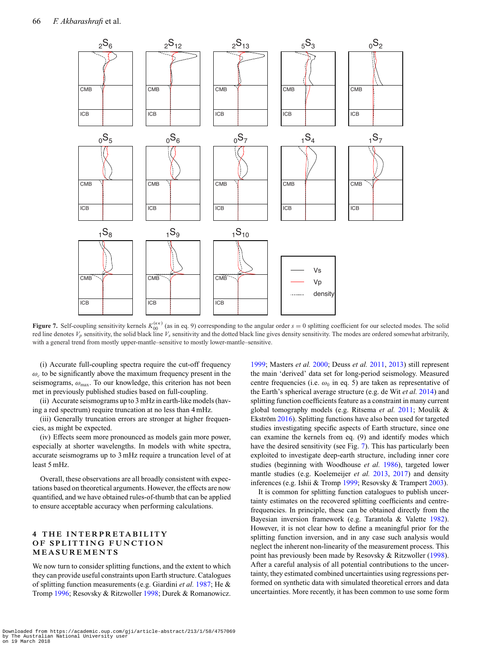<span id="page-8-0"></span>

**Figure 7.** Self-coupling sensitivity kernels  $K_{00}^{(\kappa\kappa)}$  (as in eq. 9) corresponding to the angular order  $s = 0$  splitting coefficient for our selected modes. The solid red line denotes  $V_p$  sensitivity, the solid black line  $V_s$  sensitivity and the dotted black line gives density sensitivity. The modes are ordered somewhat arbitrarily, with a general trend from mostly upper-mantle–sensitive to mostly lower-mantle–sensitive.

(i) Accurate full-coupling spectra require the cut-off frequency  $\omega_c$  to be significantly above the maximum frequency present in the seismograms,  $\omega_{\text{max}}$ . To our knowledge, this criterion has not been met in previously published studies based on full-coupling.

(ii) Accurate seismograms up to 3 mHz in earth-like models (having a red spectrum) require truncation at no less than 4 mHz.

(iii) Generally truncation errors are stronger at higher frequencies, as might be expected.

(iv) Effects seem more pronounced as models gain more power, especially at shorter wavelengths. In models with white spectra, accurate seismograms up to 3 mHz require a truncation level of at least 5 mHz.

Overall, these observations are all broadly consistent with expectations based on theoretical arguments. However, the effects are now quantified, and we have obtained rules-of-thumb that can be applied to ensure acceptable accuracy when performing calculations.

# **4 THE INTERPRETABILITY OF SPLITTING FUNCTION MEASUREMENTS**

We now turn to consider splitting functions, and the extent to which they can provide useful constraints upon Earth structure. Catalogues of splitting function measurements (e.g. Giardini *et al.* [1987;](#page-14-21) He & Tromp [1996;](#page-14-38) Resovsky & Ritzwoller [1998;](#page-14-25) Durek & Romanowicz.

[1999;](#page-14-39) Masters *et al.* [2000;](#page-14-40) Deuss *et al.* [2011,](#page-14-41) [2013\)](#page-14-34) still represent the main 'derived' data set for long-period seismology. Measured centre frequencies (i.e.  $\omega_0$  in eq. 5) are taken as representative of the Earth's spherical average structure (e.g. de Wit *et al.* [2014\)](#page-14-42) and splitting function coefficients feature as a constraint in many current global tomography models (e.g. Ritsema *et al.* [2011;](#page-14-24) Moulik & Ekström [2016\)](#page-14-4). Splitting functions have also been used for targeted studies investigating specific aspects of Earth structure, since one can examine the kernels from eq. (9) and identify modes which have the desired sensitivity (see Fig. [7\)](#page-8-0). This has particularly been exploited to investigate deep-earth structure, including inner core studies (beginning with Woodhouse *et al.* [1986\)](#page-15-6), targeted lower mantle studies (e.g. Koelemeijer *et al.* [2013,](#page-14-32) [2017\)](#page-14-5) and density inferences (e.g. Ishii & Tromp [1999;](#page-14-0) Resovsky & Trampert [2003\)](#page-14-43).

It is common for splitting function catalogues to publish uncertainty estimates on the recovered splitting coefficients and centrefrequencies. In principle, these can be obtained directly from the Bayesian inversion framework (e.g. Tarantola & Valette [1982\)](#page-14-28). However, it is not clear how to define a meaningful prior for the splitting function inversion, and in any case such analysis would neglect the inherent non-linearity of the measurement process. This point has previously been made by Resovsky & Ritzwoller [\(1998\)](#page-14-25). After a careful analysis of all potential contributions to the uncertainty, they estimated combined uncertainties using regressions performed on synthetic data with simulated theoretical errors and data uncertainties. More recently, it has been common to use some form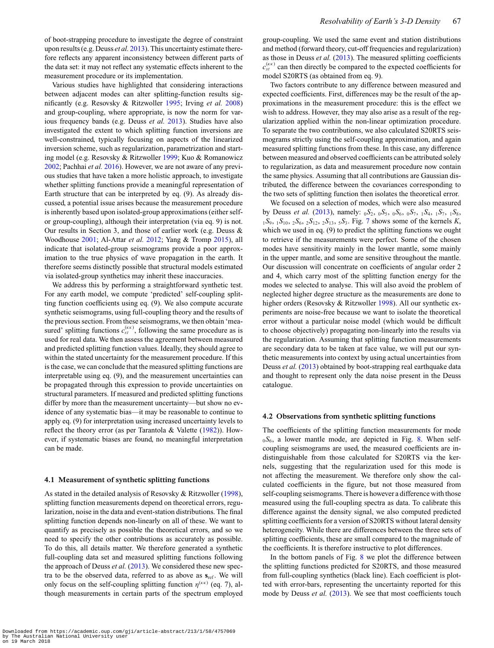of boot-strapping procedure to investigate the degree of constraint upon results (e.g. Deuss *et al.* [2013\)](#page-14-34). This uncertainty estimate therefore reflects any apparent inconsistency between different parts of the data set: it may not reflect any systematic effects inherent to the measurement procedure or its implementation.

Various studies have highlighted that considering interactions between adjacent modes can alter splitting-function results significantly (e.g. Resovsky & Ritzwoller [1995;](#page-14-27) Irving *et al.* [2008\)](#page-14-33) and group-coupling, where appropriate, is now the norm for various frequency bands (e.g. Deuss *et al.* [2013\)](#page-14-34). Studies have also investigated the extent to which splitting function inversions are well-constrained, typically focusing on aspects of the linearized inversion scheme, such as regularization, parametrization and starting model (e.g. Resovsky & Ritzwoller [1999;](#page-14-29) Kuo & Romanowicz [2002;](#page-14-30) Pachhai *et al.* [2016\)](#page-14-31). However, we are not aware of any previous studies that have taken a more holistic approach, to investigate whether splitting functions provide a meaningful representation of Earth structure that can be interpreted by eq. (9). As already discussed, a potential issue arises because the measurement procedure is inherently based upon isolated-group approximations (either selfor group-coupling), although their interpretation (via eq. 9) is not. Our results in Section 3, and those of earlier work (e.g. Deuss & Woodhouse [2001;](#page-14-18) Al-Attar *et al.* [2012;](#page-13-0) Yang & Tromp [2015\)](#page-15-2), all indicate that isolated-group seismograms provide a poor approximation to the true physics of wave propagation in the earth. It therefore seems distinctly possible that structural models estimated via isolated-group synthetics may inherit these inaccuracies.

We address this by performing a straightforward synthetic test. For any earth model, we compute 'predicted' self-coupling splitting function coefficients using eq. (9). We also compute accurate synthetic seismograms, using full-coupling theory and the results of the previous section. From these seismograms, we then obtain 'measured' splitting functions  $c_{st}^{(\kappa\kappa)}$ , following the same procedure as is used for real data. We then assess the agreement between measured and predicted splitting function values. Ideally, they should agree to within the stated uncertainty for the measurement procedure. If this is the case, we can conclude that the measured splitting functions are interpretable using eq. (9), and the measurement uncertainties can be propagated through this expression to provide uncertainties on structural parameters. If measured and predicted splitting functions differ by more than the measurement uncertainty—but show no evidence of any systematic bias—it may be reasonable to continue to apply eq. (9) for interpretation using increased uncertainty levels to reflect the theory error (as per Tarantola & Valette [\(1982\)](#page-14-28)). However, if systematic biases are found, no meaningful interpretation can be made.

#### **4.1 Measurement of synthetic splitting functions**

As stated in the detailed analysis of Resovsky & Ritzwoller [\(1998\)](#page-14-25), splitting function measurements depend on theoretical errors, regularization, noise in the data and event-station distributions. The final splitting function depends non-linearly on all of these. We want to quantify as precisely as possible the theoretical errors, and so we need to specify the other contributions as accurately as possible. To do this, all details matter. We therefore generated a synthetic full-coupling data set and measured splitting functions following the approach of Deuss *et al.* [\(2013\)](#page-14-34). We considered these new spectra to be the observed data, referred to as above as  $s_{ref}$ . We will only focus on the self-coupling splitting function  $\eta^{(\kappa\kappa)}$  (eq. 7), although measurements in certain parts of the spectrum employed

group-coupling. We used the same event and station distributions and method (forward theory, cut-off frequencies and regularization) as those in Deuss *et al.* [\(2013\)](#page-14-34). The measured splitting coefficients  $c_{st}^{(\kappa\kappa)}$  can then directly be compared to the expected coefficients for model S20RTS (as obtained from eq. 9).

Two factors contribute to any difference between measured and expected coefficients. First, differences may be the result of the approximations in the measurement procedure: this is the effect we wish to address. However, they may also arise as a result of the regularization applied within the non-linear optimization procedure. To separate the two contributions, we also calculated S20RTS seismograms strictly using the self-coupling approximation, and again measured splitting functions from these. In this case, any difference between measured and observed coefficients can be attributed solely to regularization, as data and measurement procedure now contain the same physics. Assuming that all contributions are Gaussian distributed, the difference between the covariances corresponding to the two sets of splitting function then isolates the theoretical error.

We focused on a selection of modes, which were also measured by Deuss *et al.* [\(2013\)](#page-14-34), namely: <sup>0</sup>*S*2, <sup>0</sup>*S*5, <sup>0</sup>*S*6, <sup>0</sup>*S*7, <sup>1</sup>*S*4, <sup>1</sup>*S*7, <sup>1</sup>*S*8, <sup>1</sup>*S*9, <sup>1</sup>*S*10, <sup>2</sup>*S*6, <sup>2</sup>*S*12, <sup>2</sup>*S*13, <sup>5</sup>*S*3. Fig. [7](#page-8-0) shows some of the kernels *K*, which we used in eq. (9) to predict the splitting functions we ought to retrieve if the measurements were perfect. Some of the chosen modes have sensitivity mainly in the lower mantle, some mainly in the upper mantle, and some are sensitive throughout the mantle. Our discussion will concentrate on coefficients of angular order 2 and 4, which carry most of the splitting function energy for the modes we selected to analyse. This will also avoid the problem of neglected higher degree structure as the measurements are done to higher orders (Resovsky & Ritzwoller [1998\)](#page-14-25). All our synthetic experiments are noise-free because we want to isolate the theoretical error without a particular noise model (which would be difficult to choose objectively) propagating non-linearly into the results via the regularization. Assuming that splitting function measurements are secondary data to be taken at face value, we will put our synthetic measurements into context by using actual uncertainties from Deuss *et al.* [\(2013\)](#page-14-34) obtained by boot-strapping real earthquake data and thought to represent only the data noise present in the Deuss catalogue.

#### **4.2 Observations from synthetic splitting functions**

The coefficients of the splitting function measurements for mode  $0.056$ , a lower mantle mode, are depicted in Fig. [8.](#page-10-0) When selfcoupling seismograms are used, the measured coefficients are indistinguishable from those calculated for S20RTS via the kernels, suggesting that the regularization used for this mode is not affecting the measurement. We therefore only show the calculated coefficients in the figure, but not those measured from self-coupling seismograms. There is however a difference with those measured using the full-coupling spectra as data. To calibrate this difference against the density signal, we also computed predicted splitting coefficients for a version of S20RTS without lateral density heterogeneity. While there are differences between the three sets of splitting coefficients, these are small compared to the magnitude of the coefficients. It is therefore instructive to plot differences.

In the bottom panels of Fig. [8](#page-10-0) we plot the difference between the splitting functions predicted for S20RTS, and those measured from full-coupling synthetics (black line). Each coefficient is plotted with error-bars, representing the uncertainty reported for this mode by Deuss et al. [\(2013\)](#page-14-34). We see that most coefficients touch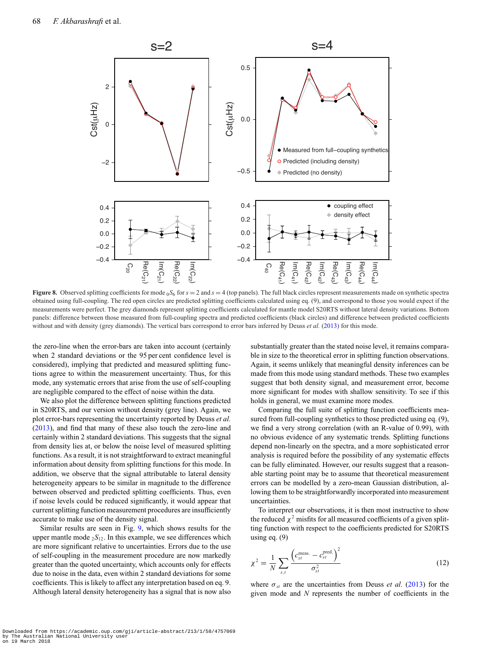<span id="page-10-0"></span>

**Figure 8.** Observed splitting coefficients for mode  ${}_{0}S_{6}$  for  $s = 2$  and  $s = 4$  (top panels). The full black circles represent measurements made on synthetic spectra obtained using full-coupling. The red open circles are predicted splitting coefficients calculated using eq. (9), and correspond to those you would expect if the measurements were perfect. The grey diamonds represent splitting coefficients calculated for mantle model S20RTS without lateral density variations. Bottom panels: difference between those measured from full-coupling spectra and predicted coefficients (black circles) and difference between predicted coefficients without and with density (grey diamonds). The vertical bars correspond to error bars inferred by Deuss *et al.* [\(2013\)](#page-14-34) for this mode.

the zero-line when the error-bars are taken into account (certainly when 2 standard deviations or the 95 per cent confidence level is considered), implying that predicted and measured splitting functions agree to within the measurement uncertainty. Thus, for this mode, any systematic errors that arise from the use of self-coupling are negligible compared to the effect of noise within the data.

We also plot the difference between splitting functions predicted in S20RTS, and our version without density (grey line). Again, we plot error-bars representing the uncertainty reported by Deuss *et al.* [\(2013\)](#page-14-34), and find that many of these also touch the zero-line and certainly within 2 standard deviations. This suggests that the signal from density lies at, or below the noise level of measured splitting functions. As a result, it is not straightforward to extract meaningful information about density from splitting functions for this mode. In addition, we observe that the signal attributable to lateral density heterogeneity appears to be similar in magnitude to the difference between observed and predicted splitting coefficients. Thus, even if noise levels could be reduced significantly, it would appear that current splitting function measurement procedures are insufficiently accurate to make use of the density signal.

Similar results are seen in Fig. [9,](#page-11-0) which shows results for the upper mantle mode  ${}_{2}S_{12}$ . In this example, we see differences which are more significant relative to uncertainties. Errors due to the use of self-coupling in the measurement procedure are now markedly greater than the quoted uncertainty, which accounts only for effects due to noise in the data, even within 2 standard deviations for some coefficients. This is likely to affect any interpretation based on eq. 9. Although lateral density heterogeneity has a signal that is now also

substantially greater than the stated noise level, it remains comparable in size to the theoretical error in splitting function observations. Again, it seems unlikely that meaningful density inferences can be made from this mode using standard methods. These two examples suggest that both density signal, and measurement error, become more significant for modes with shallow sensitivity. To see if this holds in general, we must examine more modes.

Comparing the full suite of splitting function coefficients measured from full-coupling synthetics to those predicted using eq. (9), we find a very strong correlation (with an R-value of 0.99), with no obvious evidence of any systematic trends. Splitting functions depend non-linearly on the spectra, and a more sophisticated error analysis is required before the possibility of any systematic effects can be fully eliminated. However, our results suggest that a reasonable starting point may be to assume that theoretical measurement errors can be modelled by a zero-mean Gaussian distribution, allowing them to be straightforwardly incorporated into measurement uncertainties.

To interpret our observations, it is then most instructive to show the reduced  $\chi^2$  misfits for all measured coefficients of a given splitting function with respect to the coefficients predicted for S20RTS using eq. (9)

$$
\chi^2 = \frac{1}{N} \sum_{s,t} \frac{\left(c_{st}^{\text{meas.}} - c_{st}^{\text{pred.}}\right)^2}{\sigma_{st}^2} \tag{12}
$$

where  $\sigma_{st}$  are the uncertainties from Deuss *et al.* [\(2013\)](#page-14-34) for the given mode and *N* represents the number of coefficients in the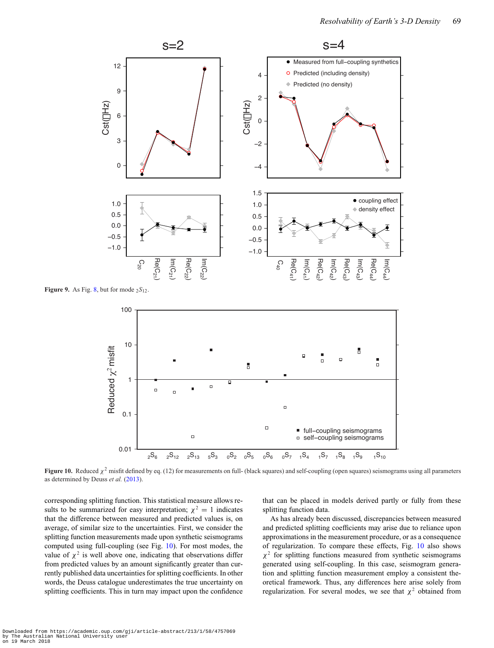<span id="page-11-0"></span>

<span id="page-11-1"></span>**Figure 9.** As Fig. [8,](#page-10-0) but for mode  ${}_{2}S_{12}$ .



**Figure 10.** Reduced  $\chi^2$  misfit defined by eq. (12) for measurements on full- (black squares) and self-coupling (open squares) seismograms using all parameters as determined by Deuss *et al.* [\(2013\)](#page-14-34).

corresponding splitting function. This statistical measure allows results to be summarized for easy interpretation;  $\chi^2 = 1$  indicates that the difference between measured and predicted values is, on average, of similar size to the uncertainties. First, we consider the splitting function measurements made upon synthetic seismograms computed using full-coupling (see Fig. [10\)](#page-11-1). For most modes, the value of  $\chi^2$  is well above one, indicating that observations differ from predicted values by an amount significantly greater than currently published data uncertainties for splitting coefficients. In other words, the Deuss catalogue underestimates the true uncertainty on splitting coefficients. This in turn may impact upon the confidence that can be placed in models derived partly or fully from these splitting function data.

As has already been discussed, discrepancies between measured and predicted splitting coefficients may arise due to reliance upon approximations in the measurement procedure, or as a consequence of regularization. To compare these effects, Fig. [10](#page-11-1) also shows  $\chi^2$  for splitting functions measured from synthetic seismograms generated using self-coupling. In this case, seismogram generation and splitting function measurement employ a consistent theoretical framework. Thus, any differences here arise solely from regularization. For several modes, we see that  $\chi^2$  obtained from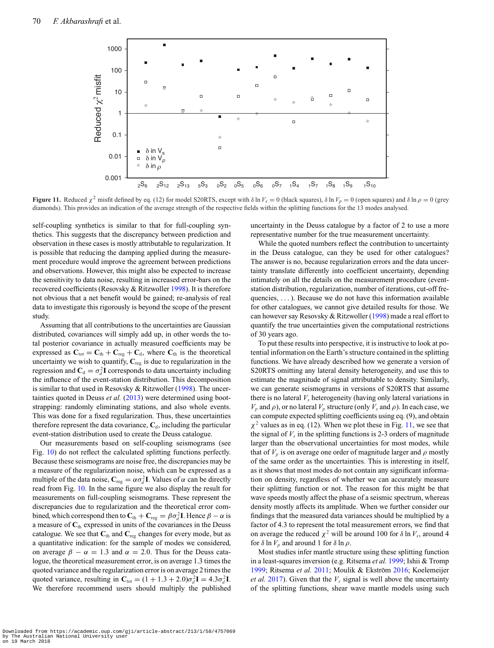<span id="page-12-0"></span>

**Figure 11.** Reduced  $\chi^2$  misfit defined by eq. (12) for model S20RTS, except with  $\delta \ln V_s = 0$  (black squares),  $\delta \ln V_p = 0$  (open squares) and  $\delta \ln \rho = 0$  (grey diamonds). This provides an indication of the average strength of the respective fields within the splitting functions for the 13 modes analysed.

self-coupling synthetics is similar to that for full-coupling synthetics. This suggests that the discrepancy between prediction and observation in these cases is mostly attributable to regularization. It is possible that reducing the damping applied during the measurement procedure would improve the agreement between predictions and observations. However, this might also be expected to increase the sensitivity to data noise, resulting in increased error-bars on the recovered coefficients (Resovsky & Ritzwoller [1998\)](#page-14-25). It is therefore not obvious that a net benefit would be gained; re-analysis of real data to investigate this rigorously is beyond the scope of the present study.

Assuming that all contributions to the uncertainties are Gaussian distributed, covariances will simply add up, in other words the total posterior covariance in actually measured coefficients may be expressed as  $C_{\text{tot}} = C_{\text{th}} + C_{\text{reg}} + C_{\text{d}}$ , where  $C_{\text{th}}$  is the theoretical uncertainty we wish to quantify,  $C_{\text{reg}}$  is due to regularization in the regression and  $\mathbf{C}_d = \sigma_d^2 \mathbf{I}$  corresponds to data uncertainty including the influence of the event-station distribution. This decomposition is similar to that used in Resovsky & Ritzwoller [\(1998\)](#page-14-25). The uncer-tainties quoted in Deuss et al. [\(2013\)](#page-14-34) were determined using bootstrapping: randomly eliminating stations, and also whole events. This was done for a fixed regularization. Thus, these uncertainties therefore represent the data covariance,  $C_d$ , including the particular event-station distribution used to create the Deuss catalogue.

Our measurements based on self-coupling seismograms (see Fig. [10\)](#page-11-1) do not reflect the calculated splitting functions perfectly. Because these seismograms are noise free, the discrepancies may be a measure of the regularization noise, which can be expressed as a multiple of the data noise,  $\mathbf{C}_{reg} = \alpha \sigma_d^2 \mathbf{I}$ . Values of  $\alpha$  can be directly read from Fig. [10.](#page-11-1) In the same figure we also display the result for measurements on full-coupling seismograms. These represent the discrepancies due to regularization and the theoretical error combined, which correspond then to  $\mathbf{C}_{\text{th}} + \mathbf{C}_{\text{reg}} = \beta \sigma_d^2 \mathbf{I}$ . Hence  $\beta - \alpha$  is a measure of **C**th expressed in units of the covariances in the Deuss catalogue. We see that **C**th and **C**reg changes for every mode, but as a quantitative indication: for the sample of modes we considered, on average  $\beta - \alpha = 1.3$  and  $\alpha = 2.0$ . Thus for the Deuss catalogue, the theoretical measurement error, is on average 1.3 times the quoted variance and the regularization error is on average 2 times the quoted variance, resulting in  $\mathbf{C}_{\text{tot}} = (1 + 1.3 + 2.0)\sigma_d^2 \mathbf{I} = 4.3\sigma_d^2 \mathbf{I}$ . We therefore recommend users should multiply the published uncertainty in the Deuss catalogue by a factor of 2 to use a more representative number for the true measurement uncertainty.

While the quoted numbers reflect the contribution to uncertainty in the Deuss catalogue, can they be used for other catalogues? The answer is no, because regularization errors and the data uncertainty translate differently into coefficient uncertainty, depending intimately on all the details on the measurement procedure (eventstation distribution, regularization, number of iterations, cut-off frequencies, . . . ). Because we do not have this information available for other catalogues, we cannot give detailed results for those. We can however say Resovsky & Ritzwoller [\(1998\)](#page-14-25) made a real effort to quantify the true uncertainties given the computational restrictions of 30 years ago.

To put these results into perspective, it is instructive to look at potential information on the Earth's structure contained in the splitting functions. We have already described how we generate a version of S20RTS omitting any lateral density heterogeneity, and use this to estimate the magnitude of signal attributable to density. Similarly, we can generate seismograms in versions of S20RTS that assume there is no lateral  $V_s$  heterogeneity (having only lateral variations in  $V_p$  and  $\rho$ ), or no lateral  $V_p$  structure (only  $V_s$  and  $\rho$ ). In each case, we can compute expected splitting coefficients using eq. (9), and obtain  $\chi^2$  values as in eq. (12). When we plot these in Fig. [11,](#page-12-0) we see that the signal of  $V<sub>s</sub>$  in the splitting functions is 2-3 orders of magnitude larger than the observational uncertainties for most modes, while that of  $V_p$  is on average one order of magnitude larger and  $\rho$  mostly of the same order as the uncertainties. This is interesting in itself, as it shows that most modes do not contain any significant information on density, regardless of whether we can accurately measure their splitting function or not. The reason for this might be that wave speeds mostly affect the phase of a seismic spectrum, whereas density mostly affects its amplitude. When we further consider our findings that the measured data variances should be multiplied by a factor of 4.3 to represent the total measurement errors, we find that on average the reduced  $\chi^2$  will be around 100 for  $\delta \ln V_s$ , around 4 for  $\delta \ln V_p$  and around 1 for  $\delta \ln \rho$ .

Most studies infer mantle structure using these splitting function in a least-squares inversion (e.g. Ritsema *et al.* [1999;](#page-14-23) Ishii & Tromp [1999;](#page-14-0) Ritsema et al. [2011;](#page-14-24) Moulik & Ekström [2016;](#page-14-4) Koelemeijer *et al.* [2017\)](#page-14-5). Given that the  $V_s$  signal is well above the uncertainty of the splitting functions, shear wave mantle models using such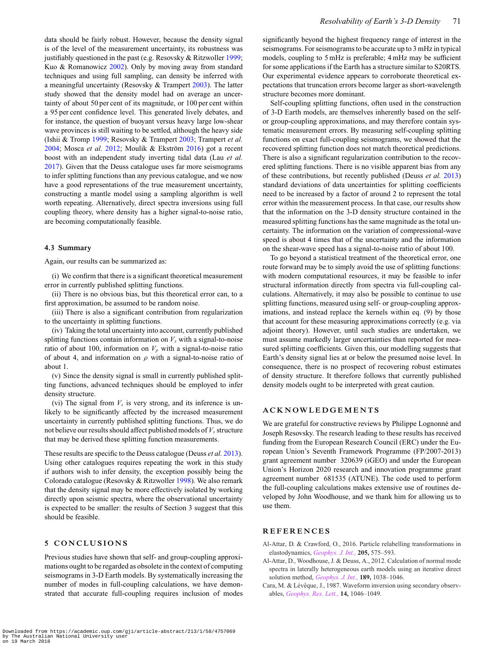data should be fairly robust. However, because the density signal is of the level of the measurement uncertainty, its robustness was justifiably questioned in the past (e.g. Resovsky & Ritzwoller [1999;](#page-14-29) Kuo & Romanowicz [2002\)](#page-14-30). Only by moving away from standard techniques and using full sampling, can density be inferred with a meaningful uncertainty (Resovsky & Trampert [2003\)](#page-14-43). The latter study showed that the density model had on average an uncertainty of about 50 per cent of its magnitude, or 100 per cent within a 95 per cent confidence level. This generated lively debates, and for instance, the question of buoyant versus heavy large low-shear wave provinces is still waiting to be settled, although the heavy side (Ishii & Tromp [1999;](#page-14-0) Resovsky & Trampert [2003;](#page-14-43) Trampert *et al.* [2004;](#page-14-1) Mosca *et al.* [2012;](#page-14-3) Moulik & Ekström [2016\)](#page-14-4) got a recent boost with an independent study inverting tidal data (Lau *et al.* [2017\)](#page-14-44). Given that the Deuss catalogue uses far more seismograms to infer splitting functions than any previous catalogue, and we now have a good representations of the true measurement uncertainty, constructing a mantle model using a sampling algorithm is well worth repeating. Alternatively, direct spectra inversions using full coupling theory, where density has a higher signal-to-noise ratio, are becoming computationally feasible.

# **4.3 Summary**

Again, our results can be summarized as:

(i) We confirm that there is a significant theoretical measurement error in currently published splitting functions.

(ii) There is no obvious bias, but this theoretical error can, to a first approximation, be assumed to be random noise.

(iii) There is also a significant contribution from regularization to the uncertainty in splitting functions.

(iv) Taking the total uncertainty into account, currently published splitting functions contain information on  $V_s$  with a signal-to-noise ratio of about 100, information on  $V_p$  with a signal-to-noise ratio of about 4, and information on  $\rho$  with a signal-to-noise ratio of about 1.

(v) Since the density signal is small in currently published splitting functions, advanced techniques should be employed to infer density structure.

(vi) The signal from  $V<sub>s</sub>$  is very strong, and its inference is unlikely to be significantly affected by the increased measurement uncertainty in currently published splitting functions. Thus, we do not believe our results should affect published models of  $V<sub>s</sub>$  structure that may be derived these splitting function measurements.

These results are specific to the Deuss catalogue (Deuss *et al.* [2013\)](#page-14-34). Using other catalogues requires repeating the work in this study if authors wish to infer density, the exception possibly being the Colorado catalogue (Resovsky & Ritzwoller [1998\)](#page-14-25). We also remark that the density signal may be more effectively isolated by working directly upon seismic spectra, where the observational uncertainty is expected to be smaller: the results of Section 3 suggest that this should be feasible.

# **5 CONCLUSIONS**

Previous studies have shown that self- and group-coupling approximations ought to be regarded as obsolete in the context of computing seismograms in 3-D Earth models. By systematically increasing the number of modes in full-coupling calculations, we have demonstrated that accurate full-coupling requires inclusion of modes

significantly beyond the highest frequency range of interest in the seismograms. For seismograms to be accurate up to 3 mHz in typical models, coupling to 5 mHz is preferable; 4 mHz may be sufficient for some applications if the Earth has a structure similar to S20RTS. Our experimental evidence appears to corroborate theoretical expectations that truncation errors become larger as short-wavelength structure becomes more dominant.

Self-coupling splitting functions, often used in the construction of 3-D Earth models, are themselves inherently based on the selfor group-coupling approximations, and may therefore contain systematic measurement errors. By measuring self-coupling splitting functions on exact full-coupling seismograms, we showed that the recovered splitting function does not match theoretical predictions. There is also a significant regularization contribution to the recovered splitting functions. There is no visible apparent bias from any of these contributions, but recently published (Deuss *et al.* [2013\)](#page-14-34) standard deviations of data uncertainties for splitting coefficients need to be increased by a factor of around 2 to represent the total error within the measurement process. In that case, our results show that the information on the 3-D density structure contained in the measured splitting functions has the same magnitude as the total uncertainty. The information on the variation of compressional-wave speed is about 4 times that of the uncertainty and the information on the shear-wave speed has a signal-to-noise ratio of about 100.

To go beyond a statistical treatment of the theoretical error, one route forward may be to simply avoid the use of splitting functions: with modern computational resources, it may be feasible to infer structural information directly from spectra via full-coupling calculations. Alternatively, it may also be possible to continue to use splitting functions, measured using self- or group-coupling approximations, and instead replace the kernels within eq. (9) by those that account for these measuring approximations correctly (e.g. via adjoint theory). However, until such studies are undertaken, we must assume markedly larger uncertainties than reported for measured splitting coefficients. Given this, our modelling suggests that Earth's density signal lies at or below the presumed noise level. In consequence, there is no prospect of recovering robust estimates of density structure. It therefore follows that currently published density models ought to be interpreted with great caution.

# **ACKNOWLEDGEMENTS**

We are grateful for constructive reviews by Philippe Lognonné and Joseph Resovsky. The research leading to these results has received funding from the European Research Council (ERC) under the European Union's Seventh Framework Programme (FP/2007-2013) grant agreement number 320639 (iGEO) and under the European Union's Horizon 2020 research and innovation programme grant agreement number 681535 (ATUNE). The code used to perform the full-coupling calculations makes extensive use of routines developed by John Woodhouse, and we thank him for allowing us to use them.

# **REFERENCES**

- <span id="page-13-2"></span>Al-Attar, D. & Crawford, O., 2016. Particle relabelling transformations in elastodynamics, *[Geophys. J. Int.,](http://dx.doi.org/10.1093/gji/ggw032)* **205,** 575–593.
- <span id="page-13-0"></span>Al-Attar, D., Woodhouse, J. & Deuss, A., 2012. Calculation of normal mode spectra in laterally heterogeneous earth models using an iterative direct solution method, *[Geophys. J. Int.,](http://dx.doi.org/10.1111/j.1365-246X.2012.05406.x)* **189,** 1038–1046.
- <span id="page-13-1"></span>Cara, M. & Lévêque, J., 1987. Waveform inversion using secondary observables, *[Geophys. Res. Lett.,](http://dx.doi.org/10.1029/GL014i010p01046)* **14,** 1046–1049.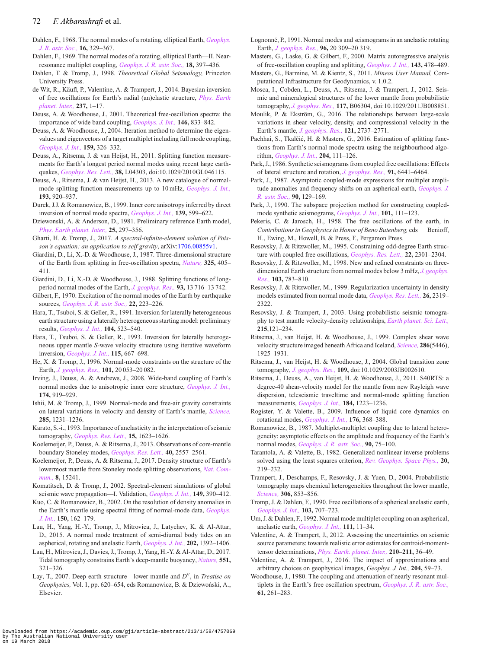# 72 *F. Akbarashrafi* et al.

- <span id="page-14-6"></span>Dahlen, F., 1968. The normal modes of a rotating, elliptical Earth, *[Geophys.](http://dx.doi.org/10.1111/j.1365-246X.1968.tb00229.x) [J. R. astr. Soc.,](http://dx.doi.org/10.1111/j.1365-246X.1968.tb00229.x)* **16,** 329–367.
- <span id="page-14-7"></span>Dahlen, F., 1969. The normal modes of a rotating, elliptical Earth—II. Nearresonance multiplet coupling, *[Geophys. J. R. astr. Soc.,](http://dx.doi.org/10.1111/j.1365-246X.1969.tb03576.x)* **18,** 397–436.
- <span id="page-14-45"></span>Dahlen, T. & Tromp, J., 1998. *Theoretical Global Seismology,* Princeton University Press.
- <span id="page-14-42"></span>de Wit, R., Käufl, P., Valentine, A. & Trampert, J., 2014. Bayesian inversion of free oscillations for Earth's radial (an)elastic structure, *[Phys. Earth](http://dx.doi.org/10.1016/j.pepi.2014.09.004) [planet. Inter.,](http://dx.doi.org/10.1016/j.pepi.2014.09.004)* **237,** 1–17.
- <span id="page-14-18"></span>Deuss, A. & Woodhouse, J., 2001. Theoretical free-oscillation spectra: the importance of wide band coupling, *[Geophys. J. Int.,](http://dx.doi.org/10.1046/j.1365-246X.2001.00502.x)* **146,** 833–842.
- <span id="page-14-52"></span>Deuss, A. & Woodhouse, J., 2004. Iteration method to determine the eigenvalues and eigenvectors of a target multiplet including full mode coupling, *[Geophys. J. Int.,](http://dx.doi.org/10.1111/j.1365-246X.2004.02399.x)* **159,** 326–332.
- <span id="page-14-41"></span>Deuss, A., Ritsema, J. & van Heijst, H., 2011. Splitting function measurements for Earth's longest period normal modes using recent large earthquakes, *[Geophys. Res. Lett.,](http://dx.doi.org/10.1029/2010GL046115)* **38,** L04303, doi:10.1029/2010GL046115.
- <span id="page-14-34"></span>Deuss, A., Ritsema, J. & van Heijst, H., 2013. A new catalogue of normalmode splitting function measurements up to 10 mHz, *[Geophys. J. Int.,](http://dx.doi.org/10.1093/gji/ggt010)* **193,** 920–937.
- <span id="page-14-39"></span>Durek, J.J. & Romanowicz, B., 1999. Inner core anisotropy inferred by direct inversion of normal mode spectra, *[Geophys. J. Int.,](http://dx.doi.org/10.1046/j.1365-246x.1999.00961.x)* **139,** 599–622.
- <span id="page-14-20"></span>Dziewonski, A. & Anderson, D., 1981. Preliminary reference Earth model, *[Phys. Earth planet. Inter.,](http://dx.doi.org/10.1016/0031-9201(81)90046-7)* **25,** 297–356.
- <span id="page-14-47"></span>Gharti, H. & Tromp, J., 2017. *A spectral-infinite-element solution of Poisson's equation: an application to self gravity*, arXiv[:1706.00855v1.](http://arxiv.org/abs/1706.00855v1)
- <span id="page-14-21"></span>Giardini, D., Li, X.-D. & Woodhouse, J., 1987. Three-dimensional structure of the Earth from splitting in free-oscillation spectra, *[Nature,](http://dx.doi.org/10.1038/325405a0)* **325,** 405– 411.
- <span id="page-14-22"></span>Giardini, D., Li, X.-D. & Woodhouse, J., 1988. Splitting functions of longperiod normal modes of the Earth, *[J. geophys. Res.,](http://dx.doi.org/10.1029/JB093iB11p13716)* **93,** 13 716–13 742.
- <span id="page-14-51"></span>Gilbert, F., 1970. Excitation of the normal modes of the Earth by earthquake sources, *[Geophys. J. R. astr. Soc.,](http://dx.doi.org/10.1111/j.1365-246X.1971.tb03593.x)* **22,** 223–226.
- <span id="page-14-15"></span>Hara, T., Tsuboi, S. & Geller, R., 1991. Inversion for laterally heterogeneous earth structure using a laterally heterogeneous starting model: preliminary results, *[Geophys. J. Int.,](http://dx.doi.org/10.1111/j.1365-246X.1991.tb05699.x)* **104,** 523–540.
- <span id="page-14-16"></span>Hara, T., Tsuboi, S. & Geller, R., 1993. Inversion for laterally heterogeneous upper mantle *S*-wave velocity structure using iterative waveform inversion, *[Geophys. J. Int.,](http://dx.doi.org/10.1111/j.1365-246X.1993.tb01487.x)* **115,** 667–698.
- <span id="page-14-38"></span>He, X. & Tromp, J., 1996. Normal-mode constraints on the structure of the Earth, *[J. geophys. Res.,](http://dx.doi.org/10.1029/96JB01783)* **101,** 20 053–20 082.
- <span id="page-14-33"></span>Irving, J., Deuss, A. & Andrews, J., 2008. Wide-band coupling of Earth's normal modes due to anisotropic inner core structure, *[Geophys. J. Int.,](http://dx.doi.org/10.1111/j.1365-246X.2008.03824.x)* **174,** 919–929.
- <span id="page-14-0"></span>Ishii, M. & Tromp, J., 1999. Normal-mode and free-air gravity constraints on lateral variations in velocity and density of Earth's mantle, *[Science,](http://dx.doi.org/10.1126/science.285.5431.1231)* **285,** 1231–1236.
- <span id="page-14-35"></span>Karato, S.-i., 1993. Importance of anelasticity in the interpretation of seismic tomography, *[Geophys. Res. Lett.,](http://dx.doi.org/10.1029/93GL01767)* **15,** 1623–1626.
- <span id="page-14-32"></span>Koelemeijer, P., Deuss, A. & Ritsema, J., 2013. Observations of core-mantle boundary Stoneley modes, *[Geophys. Res. Lett.,](http://dx.doi.org/10.1002/grl.50514)* **40,** 2557–2561.
- <span id="page-14-5"></span>Koelemeijer, P., Deuss, A. & Ritsema, J., 2017. Density structure of Earth's lowermost mantle from Stoneley mode splitting observations, *[Nat. Com](http://dx.doi.org/10.1038/ncomms15241)[mun.,](http://dx.doi.org/10.1038/ncomms15241)* **8,** 15241.
- <span id="page-14-46"></span>Komatitsch, D. & Tromp, J., 2002. Spectral-element simulations of global seismic wave propagation—I. Validation, *[Geophys. J. Int.,](http://dx.doi.org/10.1046/j.1365-246X.2002.01653.x)* **149,** 390–412.
- <span id="page-14-30"></span>Kuo, C. & Romanowicz, B., 2002. On the resolution of density anomalies in the Earth's mantle using spectral fitting of normal-mode data, *[Geophys.](http://dx.doi.org/10.1046/j.1365-246X.2002.01698.x) [J. Int.,](http://dx.doi.org/10.1046/j.1365-246X.2002.01698.x)* **150,** 162–179.
- <span id="page-14-19"></span>Lau, H., Yang, H.-Y., Tromp, J., Mitrovica, J., Latychev, K. & Al-Attar, D., 2015. A normal mode treatment of semi-diurnal body tides on an aspherical, rotating and anelastic Earth, *[Geophys. J. Int.,](http://dx.doi.org/10.1093/gji/ggv227)* **202,** 1392–1406.
- <span id="page-14-44"></span>Lau, H., Mitrovica, J., Davies, J., Tromp, J., Yang, H.-Y. & Al-Attar, D., 2017. Tidal tomography constrains Earth's deep-mantle buoyancy, *[Nature,](http://dx.doi.org/10.1038/nature24452)* **551,** 321–326.
- <span id="page-14-2"></span>Lay, T., 2007. Deep earth structure—lower mantle and *D''*, in *Treatise on* Geophysics, Vol. 1, pp. 620-654, eds Romanowicz, B. & Dziewoński, A., Elsevier.
- <span id="page-14-14"></span>Lognonné, P., 1991. Normal modes and seismograms in an anelastic rotating Earth, *[J. geophys. Res.,](http://dx.doi.org/10.1029/91JB00420)* **96,** 20 309–20 319.
- <span id="page-14-40"></span>Masters, G., Laske, G. & Gilbert, F., 2000. Matrix autoregressive analysis of free-oscillation coupling and splitting, *[Geophys. J. Int.,](http://dx.doi.org/10.1046/j.1365-246X.2000.01261.x)* **143,** 478–489.
- <span id="page-14-49"></span>Masters, G., Barmine, M. & Kientz, S., 2011. *Mineos User Manual,* Computational Infrastructure for Geodynamics, v. 1.0.2.
- <span id="page-14-3"></span>Mosca, I., Cobden, L., Deuss, A., Ritsema, J. & Trampert, J., 2012. Seismic and mineralogical structures of the lower mantle from probabilistic tomography, *[J. geophys. Res.,](http://dx.doi.org/10.1029/2011JB008851)* **117,** B06304, doi:10.1029/2011JB008851.
- <span id="page-14-4"></span>Moulik, P. & Ekström, G., 2016. The relationships between large-scale variations in shear velocity, density, and compressional velocity in the Earth's mantle, *[J. geophys. Res.,](http://dx.doi.org/10.1002/2015JB012679)* **121,** 2737–2771.
- <span id="page-14-31"></span>Pachhai, S., Tkalčić, H. & Masters, G., 2016. Estimation of splitting functions from Earth's normal mode spectra using the neighbourhood algorithm, *[Geophys. J. Int.,](http://dx.doi.org/10.1093/gji/ggv414)* **204,** 111–126.
- <span id="page-14-9"></span>Park, J., 1986. Synthetic seismograms from coupled free oscillations: Effects of lateral structure and rotation, *[J. geophys. Res.,](http://dx.doi.org/10.1029/JB091iB06p06441)* **91,** 6441–6464.
- <span id="page-14-10"></span>Park, J., 1987. Asymptotic coupled-mode expressions for multiplet amplitude anomalies and frequency shifts on an aspherical earth, *[Geophys. J.](http://dx.doi.org/10.1111/j.1365-246X.1987.tb00679.x) [R. astr. Soc.,](http://dx.doi.org/10.1111/j.1365-246X.1987.tb00679.x)* **90,** 129–169.
- <span id="page-14-11"></span>Park, J., 1990. The subspace projection method for constructing coupledmode synthetic seismograms, *[Geophys. J. Int.,](http://dx.doi.org/10.1111/j.1365-246X.1990.tb00761.x)* **101,** 111–123.
- <span id="page-14-48"></span>Pekeris, C. & Jarosch, H., 1958. The free oscillations of the earth, in *Contributions in Geophysics in Honor of Beno Butenberg, eds* Benioff, H., Ewing, M., Howell, B. & Press, F., Pergamon Press.
- <span id="page-14-27"></span>Resovsky, J. & Ritzwoller, M., 1995. Constraining odd-degree Earth structure with coupled free oscillations, *[Geophys. Res. Lett.,](http://dx.doi.org/10.1029/95GL01996)* **22,** 2301–2304.
- <span id="page-14-25"></span>Resovsky, J. & Ritzwoller, M., 1998. New and refined constraints on threedimensional Earth structure from normal modes below 3 mHz, *[J. geophys.](http://dx.doi.org/10.1029/97JB02482) [Res.,](http://dx.doi.org/10.1029/97JB02482)* **103,** 783–810.
- <span id="page-14-29"></span>Resovsky, J. & Ritzwoller, M., 1999. Regularization uncertainty in density models estimated from normal mode data, *[Geophys. Res. Lett.,](http://dx.doi.org/10.1029/1999GL900540)* **26,** 2319– 2322.
- <span id="page-14-43"></span>Resovsky, J. & Trampert, J., 2003. Using probabilistic seismic tomography to test mantle velocity-density relationships, *[Earth planet. Sci. Lett.,](http://dx.doi.org/10.1016/S0012-821X(03)00436-9)* **215**,121–234.
- <span id="page-14-23"></span>Ritsema, J., van Heijst, H. & Woodhouse, J., 1999. Complex shear wave velocity structure imaged beneath Africa and Iceland, *[Science,](http://dx.doi.org/10.1126/science.286.5446.1925)* **286**(5446), 1925–1931.
- <span id="page-14-37"></span>Ritsema, J., van Heijst, H. & Woodhouse, J., 2004. Global transition zone tomography, *[J. geophys. Res.,](http://dx.doi.org/10.1029/2003JB002610)* **109,** doi:10.1029/2003JB002610.
- <span id="page-14-24"></span>Ritsema, J., Deuss, A., van Heijst, H. & Woodhouse, J., 2011. S40RTS: a degree-40 shear-velocity model for the mantle from new Rayleigh wave dispersion, teleseismic traveltime and normal-mode splitting function measurements, *[Geophys. J. Int.,](http://dx.doi.org/10.1111/j.1365-246X.2010.04884.x)* **184,** 1223–1236.
- <span id="page-14-50"></span>Rogister, Y. & Valette, B., 2009. Influence of liquid core dynamics on rotational modes, *[Geophys. J. Int.,](http://dx.doi.org/10.1111/j.1365-246X.2008.03996.x)* **176,** 368–388.
- <span id="page-14-12"></span>Romanowicz, B., 1987. Multiplet-multiplet coupling due to lateral heterogeneity: asymptotic effects on the amplitude and frequency of the Earth's normal modes, *[Geophys. J. R. astr. Soc.,](http://dx.doi.org/10.1111/j.1365-246X.1987.tb00676.x)* **90,** 75–100.
- <span id="page-14-28"></span>Tarantola, A. & Valette, B., 1982. Generalized nonlinear inverse problems solved using the least squares criterion, *[Rev. Geophys. Space Phys.,](http://dx.doi.org/10.1029/RG020i002p00219)* **20,** 219–232.
- <span id="page-14-1"></span>Trampert, J., Deschamps, F., Resovsky, J. & Yuen, D., 2004. Probabilistic tomography maps chemical heterogeneities throughout the lower mantle, *[Science,](http://dx.doi.org/10.1126/science.1101996)* **306,** 853–856.
- <span id="page-14-13"></span>Tromp, J. & Dahlen, F., 1990. Free oscillations of a spherical anelastic earth, *[Geophys. J. Int.,](http://dx.doi.org/10.1111/j.1365-246X.1990.tb05682.x)* **103,** 707–723.
- <span id="page-14-17"></span>Um, J. & Dahlen, F., 1992. Normal mode multiplet coupling on an aspherical, anelastic earth, *[Geophys. J. Int.,](http://dx.doi.org/10.1111/j.1365-246X.1992.tb00551.x)* **111,** 11–34.
- <span id="page-14-36"></span>Valentine, A. & Trampert, J., 2012. Assessing the uncertainties on seismic source parameters: towards realistic error estimates for centroid-momenttensor determinations, *[Phys. Earth. planet. Inter.,](http://dx.doi.org/10.1016/j.pepi.2012.08.003)* **210–211,** 36–49.
- <span id="page-14-26"></span>Valentine, A. & Trampert, J., 2016. The impact of approximations and arbitrary choices on geophysical images, *Geophys. J. Int.,* **204,** 59–73.
- <span id="page-14-8"></span>Woodhouse, J., 1980. The coupling and attenuation of nearly resonant multiplets in the Earth's free oscillation spectrum, *[Geophys. J. R. astr. Soc.,](http://dx.doi.org/10.1111/j.1365-246X.1980.tb04317.x)* **61,** 261–283.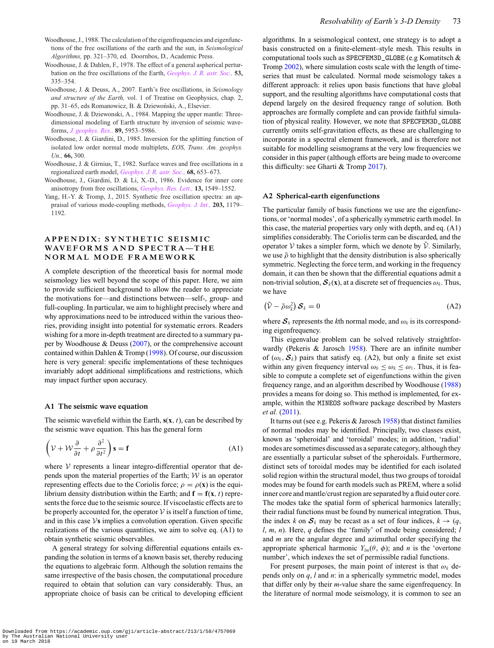- <span id="page-15-4"></span>Woodhouse, J., 1988. The calculation of the eigenfrequencies and eigenfunctions of the free oscillations of the earth and the sun, in *Seismological Algorithms,* pp. 321–370, ed. Doornbos, D., Academic Press.
- <span id="page-15-0"></span>Woodhouse, J. & Dahlen, F., 1978. The effect of a general aspherical perturbation on the free oscillations of the Earth, *[Geophys. J. R. astr. Soc.,](http://dx.doi.org/10.1111/j.1365-246X.1978.tb03746.x)* **53,** 335–354.
- <span id="page-15-7"></span>Woodhouse, J. & Deuss, A., 2007. Earth's free oscillations, in *Seismology and structure of the Earth,* vol. 1 of Treatise on Geophysics, chap. 2, pp. 31–65, eds Romanowicz, B. & Dziewoński, A., Elsevier.
- <span id="page-15-5"></span>Woodhouse, J. & Dziewonski, A., 1984. Mapping the upper mantle: Threedimensional modeling of Earth structure by inversion of seismic waveforms, *[J. geophys. Res.,](http://dx.doi.org/10.1029/JB089iB07p05953)* **89,** 5953–5986.
- <span id="page-15-3"></span>Woodhouse, J. & Giardini, D., 1985. Inversion for the splitting function of isolated low order normal mode multiplets, *EOS, Trans. Am. geophys. Un.,* **66,** 300.
- <span id="page-15-1"></span>Woodhouse, J. & Girnius, T., 1982. Surface waves and free oscillations in a regionalized earth model, *[Geophys. J. R. astr. Soc.,](http://dx.doi.org/10.1111/j.1365-246X.1982.tb04921.x)* **68,** 653–673.
- <span id="page-15-6"></span>Woodhouse, J., Giardini, D. & Li, X.-D., 1986. Evidence for inner core anisotropy from free oscillations, *[Geophys. Res. Lett.,](http://dx.doi.org/10.1029/GL013i013p01549)* **13,** 1549–1552.
- <span id="page-15-2"></span>Yang, H.-Y. & Tromp, J., 2015. Synthetic free oscillation spectra: an appraisal of various mode-coupling methods, *[Geophys. J. Int.,](http://dx.doi.org/10.1093/gji/ggv349)* **203,** 1179– 1192.

# **APPENDIX: SYNTHETIC SEISMIC** WAVEFORMS AND SPECTRA-THE **NORMAL MODE FRAMEWORK**

A complete description of the theoretical basis for normal mode seismology lies well beyond the scope of this paper. Here, we aim to provide sufficient background to allow the reader to appreciate the motivations for—and distinctions between—self-, group- and full-coupling. In particular, we aim to highlight precisely where and why approximations need to be introduced within the various theories, providing insight into potential for systematic errors. Readers wishing for a more in-depth treatment are directed to a summary paper by Woodhouse & Deuss [\(2007\)](#page-15-7), or the comprehensive account contained within Dahlen & Tromp [\(1998\)](#page-14-45). Of course, our discussion here is very general: specific implementations of these techniques invariably adopt additional simplifications and restrictions, which may impact further upon accuracy.

## **A1 The seismic wave equation**

The seismic wavefield within the Earth,  $s(x, t)$ , can be described by the seismic wave equation. This has the general form

$$
\left(\mathcal{V} + \mathcal{W}\frac{\partial}{\partial t} + \rho \frac{\partial^2}{\partial t^2}\right)\mathbf{s} = \mathbf{f}
$$
 (A1)

where  $V$  represents a linear integro-differential operator that depends upon the material properties of the Earth;  $W$  is an operator representing effects due to the Coriolis force;  $\rho = \rho(\mathbf{x})$  is the equilibrium density distribution within the Earth; and  $f = f(x, t)$  represents the force due to the seismic source. If viscoelastic effects are to be properly accounted for, the operator  $V$  is itself a function of time, and in this case  $\mathcal V$ **s** implies a convolution operation. Given specific realizations of the various quantities, we aim to solve eq. (A1) to obtain synthetic seismic observables.

A general strategy for solving differential equations entails expanding the solution in terms of a known basis set, thereby reducing the equations to algebraic form. Although the solution remains the same irrespective of the basis chosen, the computational procedure required to obtain that solution can vary considerably. Thus, an appropriate choice of basis can be critical to developing efficient

algorithms. In a seismological context, one strategy is to adopt a basis constructed on a finite-element–style mesh. This results in computational tools such as SPECFEM3D\_GLOBE (e.g Komatitsch & Tromp [2002\)](#page-14-46), where simulation costs scale with the length of timeseries that must be calculated. Normal mode seismology takes a different approach: it relies upon basis functions that have global support, and the resulting algorithms have computational costs that depend largely on the desired frequency range of solution. Both approaches are formally complete and can provide faithful simulation of physical reality. However, we note that SPECFEM3D\_GLOBE currently omits self-gravitation effects, as these are challenging to incorporate in a spectral element framework, and is therefore not suitable for modelling seismograms at the very low frequencies we consider in this paper (although efforts are being made to overcome this difficulty: see Gharti & Tromp [2017\)](#page-14-47).

## **A2 Spherical-earth eigenfunctions**

The particular family of basis functions we use are the eigenfunctions, or 'normal modes', of a spherically symmetric earth model. In this case, the material properties vary only with depth, and eq. (A1) simplifies considerably. The Coriolis term can be discarded, and the operator V takes a simpler form, which we denote by  $\bar{\mathcal{V}}$ . Similarly, we use  $\bar{\rho}$  to highlight that the density distribution is also spherically symmetric. Neglecting the force term, and working in the frequency domain, it can then be shown that the differential equations admit a non-trivial solution,  $S_k(x)$ , at a discrete set of frequencies  $\omega_k$ . Thus, we have

$$
\left(\bar{\mathcal{V}} - \bar{\rho}\omega_k^2\right)\boldsymbol{\mathcal{S}}_k = 0\tag{A2}
$$

where  $S_k$  represents the *k*th normal mode, and  $\omega_k$  is its corresponding eigenfrequency.

This eigenvalue problem can be solved relatively straightforwardly (Pekeris & Jarosch [1958\)](#page-14-48). There are an infinite number of  $(\omega_k, \mathcal{S}_k)$  pairs that satisfy eq. (A2), but only a finite set exist within any given frequency interval  $\omega_0 \leq \omega_k \leq \omega_1$ . Thus, it is feasible to compute a complete set of eigenfunctions within the given frequency range, and an algorithm described by Woodhouse [\(1988\)](#page-15-4) provides a means for doing so. This method is implemented, for example, within the MINEOS software package described by Masters *et al.* [\(2011\)](#page-14-49).

It turns out (see e.g. Pekeris & Jarosch [1958\)](#page-14-48) that distinct families of normal modes may be identified. Principally, two classes exist, known as 'spheroidal' and 'toroidal' modes; in addition, 'radial' modes are sometimes discussed as a separate category, although they are essentially a particular subset of the spheroidals. Furthermore, distinct sets of toroidal modes may be identified for each isolated solid region within the structural model, thus two groups of toroidal modes may be found for earth models such as PREM, where a solid inner core and mantle/crust region are separated by a fluid outer core. The modes take the spatial form of spherical harmonics laterally; their radial functions must be found by numerical integration. Thus, the index *k* on  $S_k$  may be recast as a set of four indices,  $k \to (q,$ *l*, *m*, *n*). Here, *q* defines the 'family' of mode being considered; *l* and *m* are the angular degree and azimuthal order specifying the appropriate spherical harmonic  $Y_{lm}(\theta, \phi)$ ; and *n* is the 'overtone' number', which indexes the set of permissible radial functions.

For present purposes, the main point of interest is that  $\omega_k$  depends only on *q*, *l* and *n*: in a spherically symmetric model, modes that differ only by their *m*-value share the same eigenfrequency. In the literature of normal mode seismology, it is common to see an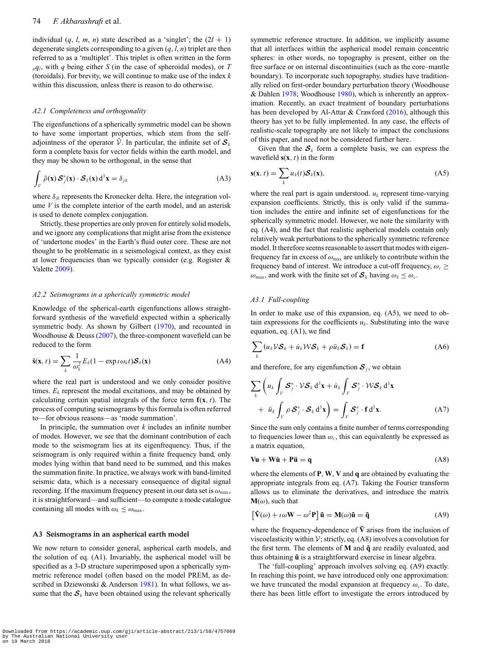individual  $(q, l, m, n)$  state described as a 'singlet'; the  $(2l + 1)$ degenerate singlets corresponding to a given (*q*, *l*, *n*) triplet are then referred to as a 'multiplet'. This triplet is often written in the form  $nq_l$ , with *q* being either *S* (in the case of spheroidal modes), or *T* (toroidals). For brevity, we will continue to make use of the index *k* within this discussion, unless there is reason to do otherwise.

## *A2.1 Completeness and orthogonality*

The eigenfunctions of a spherically symmetric model can be shown to have some important properties, which stem from the selfadjointness of the operator  $\bar{V}$ . In particular, the infinite set of  $S_k$ form a complete basis for vector fields within the earth model, and they may be shown to be orthogonal, in the sense that

$$
\int_{V} \bar{\rho}(\mathbf{x}) \mathcal{S}_{j}^{*}(\mathbf{x}) \cdot \mathcal{S}_{k}(\mathbf{x}) d^{3} \mathbf{x} = \delta_{jk}
$$
\n(A3)

where  $\delta_{jk}$  represents the Kronecker delta. Here, the integration volume *V* is the complete interior of the earth model, and an asterisk is used to denote complex conjugation.

Strictly, these properties are only proven for entirely solid models, and we ignore any complications that might arise from the existence of 'undertone modes' in the Earth's fluid outer core. These are not thought to be problematic in a seismological context, as they exist at lower frequencies than we typically consider (e.g. Rogister & Valette [2009\)](#page-14-50).

## *A2.2 Seismograms in a spherically symmetric model*

Knowledge of the spherical-earth eigenfunctions allows straightforward synthesis of the wavefield expected within a spherically symmetric body. As shown by Gilbert [\(1970\)](#page-14-51), and recounted in Woodhouse & Deuss [\(2007\)](#page-15-7), the three-component wavefield can be reduced to the form

$$
\bar{\mathbf{s}}(\mathbf{x},t) = \sum_{k} \frac{1}{\omega_k^2} E_k (1 - \exp t \omega_k t) \mathcal{S}_k(\mathbf{x})
$$
(A4)

where the real part is understood and we only consider positive times.  $E_k$  represent the modal excitations, and may be obtained by calculating certain spatial integrals of the force term  $f(x, t)$ . The process of computing seismograms by this formula is often referred to—for obvious reasons—as 'mode summation'.

In principle, the summation over *k* includes an infinite number of modes. However, we see that the dominant contribution of each mode to the seismogram lies at its eigenfrequency. Thus, if the seismogram is only required within a finite frequency band, only modes lying within that band need to be summed, and this makes the summation finite. In practice, we always work with band-limited seismic data, which is a necessary consequence of digital signal recording. If the maximum frequency present in our data set is  $\omega_{\text{max}}$ , it is straightforward—and sufficient—to compute a mode catalogue containing all modes with  $\omega_k \leq \omega_{\text{max}}$ .

## **A3 Seismograms in an aspherical earth model**

We now return to consider general, aspherical earth models, and the solution of eq. (A1). Invariably, the aspherical model will be specified as a 3-D structure superimposed upon a spherically symmetric reference model (often based on the model PREM, as de-scribed in Dziewonski & Anderson [1981\)](#page-14-20). In what follows, we assume that the  $S_k$  have been obtained using the relevant spherically

symmetric reference structure. In addition, we implicitly assume that all interfaces within the aspherical model remain concentric spheres: in other words, no topography is present, either on the free surface or on internal discontinuities (such as the core–mantle boundary). To incorporate such topography, studies have traditionally relied on first-order boundary perturbation theory (Woodhouse & Dahlen [1978;](#page-15-0) Woodhouse [1980\)](#page-14-8), which is inherently an approximation. Recently, an exact treatment of boundary perturbations has been developed by Al-Attar & Crawford [\(2016\)](#page-13-2), although this theory has yet to be fully implemented. In any case, the effects of realistic-scale topography are not likely to impact the conclusions of this paper, and need not be considered further here.

Given that the  $S_k$  form a complete basis, we can express the wavefield  $s(x, t)$  in the form

$$
\mathbf{s}(\mathbf{x},t) = \sum_{k} u_k(t) \mathcal{S}_k(\mathbf{x}), \tag{A5}
$$

where the real part is again understood.  $u_k$  represent time-varying expansion coefficients. Strictly, this is only valid if the summation includes the entire and infinite set of eigenfunctions for the spherically symmetric model. However, we note the similarity with eq. (A4), and the fact that realistic aspherical models contain only relatively weak perturbations to the spherically symmetric reference model. It therefore seems reasonable to assert that modes with eigenfrequency far in excess of  $\omega_{\text{max}}$  are unlikely to contribute within the frequency band of interest. We introduce a cut-off frequency,  $\omega_c \geq$  $\omega_{\text{max}}$ , and work with the finite set of  $S_k$  having  $\omega_k \leq \omega_c$ .

## *A3.1 Full-coupling*

In order to make use of this expansion, eq. (A5), we need to obtain expressions for the coefficients  $u_k$ . Substituting into the wave equation, eq. (A1), we find

$$
\sum_{k} (u_k \mathcal{V} \mathcal{S}_k + \dot{u}_k \mathcal{W} \mathcal{S}_k + \rho \ddot{u}_k \mathcal{S}_k) = \mathbf{f}
$$
 (A6)

and therefore, for any eigenfunction  $S_i$ , we obtain

$$
\sum_{k} \left( u_{k} \int_{V} \mathcal{S}_{j}^{*} \cdot \mathcal{V} \mathcal{S}_{k} d^{3} \mathbf{x} + \dot{u}_{k} \int_{V} \mathcal{S}_{j}^{*} \cdot \mathcal{W} \mathcal{S}_{k} d^{3} \mathbf{x} + \ddot{u}_{k} \int_{V} \rho \mathcal{S}_{j}^{*} \cdot \mathcal{S}_{k} d^{3} \mathbf{x} \right) = \int_{V} \mathcal{S}_{j}^{*} \cdot \mathbf{f} d^{3} \mathbf{x}.
$$
 (A7)

Since the sum only contains a finite number of terms corresponding to frequencies lower than  $\omega_c$ , this can equivalently be expressed as a matrix equation,

$$
\mathbf{Vu} + \mathbf{W\dot{u}} + \mathbf{P\ddot{u}} = \mathbf{q} \tag{A8}
$$

where the elements of **P**, **W**, **V** and **q** are obtained by evaluating the appropriate integrals from eq. (A7). Taking the Fourier transform allows us to eliminate the derivatives, and introduce the matrix  $M(\omega)$ , such that

$$
\left[\tilde{\mathbf{V}}(\omega) + i\omega \mathbf{W} - \omega^2 \mathbf{P}\right] \tilde{\mathbf{u}} = \mathbf{M}(\omega) \tilde{\mathbf{u}} = \tilde{\mathbf{q}} \tag{A9}
$$

where the frequency-dependence of  $\tilde{V}$  arises from the inclusion of viscoelasticity within  $V$ ; strictly, eq. (A8) involves a convolution for the first term. The elements of **M** and  $\tilde{q}$  are readily evaluated, and thus obtaining  $\tilde{u}$  is a straightforward exercise in linear algebra.

The 'full-coupling' approach involves solving eq. (A9) exactly. In reaching this point, we have introduced only one approximation: we have truncated the modal expansion at frequency  $\omega_c$ . To date, there has been little effort to investigate the errors introduced by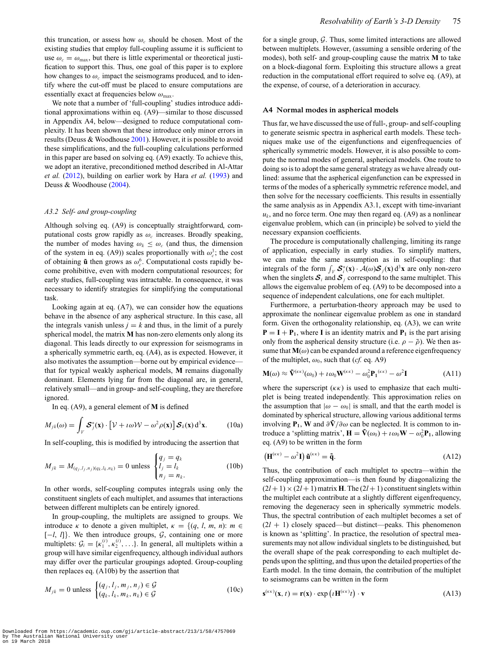this truncation, or assess how  $\omega_c$  should be chosen. Most of the existing studies that employ full-coupling assume it is sufficient to use  $\omega_c = \omega_{\text{max}}$ , but there is little experimental or theoretical justification to support this. Thus, one goal of this paper is to explore how changes to  $\omega_c$  impact the seismograms produced, and to identify where the cut-off must be placed to ensure computations are essentially exact at frequencies below  $\omega_{\text{max}}$ .

We note that a number of 'full-coupling' studies introduce additional approximations within eq. (A9)—similar to those discussed in Appendix A4, below—designed to reduce computational complexity. It has been shown that these introduce only minor errors in results (Deuss & Woodhouse [2001\)](#page-14-18). However, it is possible to avoid these simplifications, and the full-coupling calculations performed in this paper are based on solving eq. (A9) exactly. To achieve this, we adopt an iterative, preconditioned method described in Al-Attar *et al.* [\(2012\)](#page-13-0), building on earlier work by Hara *et al.* [\(1993\)](#page-14-16) and Deuss & Woodhouse [\(2004\)](#page-14-52).

# *A3.2 Self- and group-coupling*

Although solving eq. (A9) is conceptually straightforward, computational costs grow rapidly as  $\omega_c$  increases. Broadly speaking, the number of modes having  $\omega_k \leq \omega_c$  (and thus, the dimension of the system in eq. (A9)) scales proportionally with  $\omega_c^3$ ; the cost of obtaining  $\tilde{u}$  then grows as  $\omega_c^6$ . Computational costs rapidly become prohibitive, even with modern computational resources; for early studies, full-coupling was intractable. In consequence, it was necessary to identify strategies for simplifying the computational task.

Looking again at eq. (A7), we can consider how the equations behave in the absence of any aspherical structure. In this case, all the integrals vanish unless  $j = k$  and thus, in the limit of a purely spherical model, the matrix **M** has non-zero elements only along its diagonal. This leads directly to our expression for seismograms in a spherically symmetric earth, eq. (A4), as is expected. However, it also motivates the assumption—borne out by empirical evidence that for typical weakly aspherical models, **M** remains diagonally dominant. Elements lying far from the diagonal are, in general, relatively small—and in group- and self-coupling, they are therefore ignored.

In eq. (A9), a general element of **M** is defined

$$
M_{jk}(\omega) = \int_{V} \mathcal{S}_{j}^{*}(\mathbf{x}) \cdot \left[ \mathcal{V} + i \omega \mathcal{W} - \omega^{2} \rho(\mathbf{x}) \right] \mathcal{S}_{k}(\mathbf{x}) d^{3} \mathbf{x}.
$$
 (10a)

In self-coupling, this is modified by introducing the assertion that

$$
M_{jk} = M_{(q_j, l_j, n_j)(q_k, l_k, n_k)} = 0 \text{ unless } \begin{cases} q_j = q_k \\ l_j = l_k \\ n_j = n_k. \end{cases} (10b)
$$

In other words, self-coupling computes integrals using only the constituent singlets of each multiplet, and assumes that interactions between different multiplets can be entirely ignored.

In group-coupling, the multiplets are assigned to groups. We introduce  $\kappa$  to denote a given multiplet,  $\kappa = \{(q, l, m, n): m \in$ [-*l*, *l*]}. We then introduce groups, *G*, containing one or more multiplets:  $G_i = \{\kappa_1^{(i)}, \kappa_2^{(i)}, \ldots\}$ . In general, all multiplets within a group will have similar eigenfrequency, although individual authors may differ over the particular groupings adopted. Group-coupling then replaces eq. (A10b) by the assertion that

$$
M_{jk} = 0 \text{ unless } \begin{cases} (q_j, l_j, m_j, n_j) \in \mathcal{G} \\ (q_k, l_k, m_k, n_k) \in \mathcal{G} \end{cases}
$$
 (10c)

for a single group,  $G$ . Thus, some limited interactions are allowed between multiplets. However, (assuming a sensible ordering of the modes), both self- and group-coupling cause the matrix **M** to take on a block-diagonal form. Exploiting this structure allows a great reduction in the computational effort required to solve eq. (A9), at the expense, of course, of a deterioration in accuracy.

#### **A4 Normal modes in aspherical models**

Thus far, we have discussed the use of full-, group- and self-coupling to generate seismic spectra in aspherical earth models. These techniques make use of the eigenfunctions and eigenfrequencies of spherically symmetric models. However, it is also possible to compute the normal modes of general, aspherical models. One route to doing so is to adopt the same general strategy as we have already outlined: assume that the aspherical eigenfunction can be expressed in terms of the modes of a spherically symmetric reference model, and then solve for the necessary coefficients. This results in essentially the same analysis as in Appendix A3.1, except with time-invariant  $u_k$ , and no force term. One may then regard eq.  $(A9)$  as a nonlinear eigenvalue problem, which can (in principle) be solved to yield the necessary expansion coefficients.

The procedure is computationally challenging, limiting its range of application, especially in early studies. To simplify matters, we can make the same assumption as in self-coupling: that integrals of the form  $\int_V \mathcal{S}_i^*(\mathbf{x}) \cdot \mathcal{A}(\omega) \mathcal{S}_j(\mathbf{x}) d^3\mathbf{x}$  are only non-zero when the singlets  $S_i$  and  $S_j$  correspond to the same multiplet. This allows the eigenvalue problem of eq. (A9) to be decomposed into a sequence of independent calculations, one for each multiplet.

Furthermore, a perturbation-theory approach may be used to approximate the nonlinear eigenvalue problem as one in standard form. Given the orthogonality relationship, eq. (A3), we can write  $P = I + P_1$ , where **I** is an identity matrix and  $P_1$  is the part arising only from the aspherical density structure (i.e.  $\rho - \bar{\rho}$ ). We then assume that  **can be expanded around a reference eigenfrequency** of the multiplet,  $\omega_0$ , such that (*cf.* eq. A9)

$$
\mathbf{M}(\omega) \approx \mathbf{\tilde{V}}^{(\kappa\kappa)}(\omega_0) + i\omega_0 \mathbf{W}^{(\kappa\kappa)} - \omega_0^2 \mathbf{P}_1^{(\kappa\kappa)} - \omega^2 \mathbf{I}
$$
 (A11)

where the superscript  $(\kappa \kappa)$  is used to emphasize that each multiplet is being treated independently. This approximation relies on the assumption that  $|\omega - \omega_0|$  is small, and that the earth model is dominated by spherical structure, allowing various additional terms involving **P**<sub>1</sub>, **W** and  $\partial \tilde{V}/\partial \omega$  can be neglected. It is common to introduce a 'splitting matrix',  $\mathbf{H} = \tilde{\mathbf{V}}(\omega_0) + i \omega_0 \mathbf{W} - \omega_0^2 \mathbf{P}_1$ , allowing eq. (A9) to be written in the form

$$
\left(\mathbf{H}^{(\kappa\kappa)} - \omega^2 \mathbf{I}\right) \tilde{\mathbf{u}}^{(\kappa\kappa)} = \tilde{\mathbf{q}}.\tag{A12}
$$

Thus, the contribution of each multiplet to spectra—within the self-coupling approximation—is then found by diagonalizing the  $(2l + 1) \times (2l + 1)$  matrix **H**. The  $(2l + 1)$  constituent singlets within the multiplet each contribute at a slightly different eigenfrequency, removing the degeneracy seen in spherically symmetric models. Thus, the spectral contribution of each multiplet becomes a set of  $(2l + 1)$  closely spaced—but distinct—peaks. This phenomenon is known as 'splitting'. In practice, the resolution of spectral measurements may not allow individual singlets to be distinguished, but the overall shape of the peak corresponding to each multiplet depends upon the splitting, and thus upon the detailed properties of the Earth model. In the time domain, the contribution of the multiplet to seismograms can be written in the form

$$
\mathbf{s}^{(\kappa\kappa)}(\mathbf{x},t) = \mathbf{r}(\mathbf{x}) \cdot \exp\left(t\mathbf{H}^{(\kappa\kappa)}t\right) \cdot \mathbf{v}
$$
 (A13)